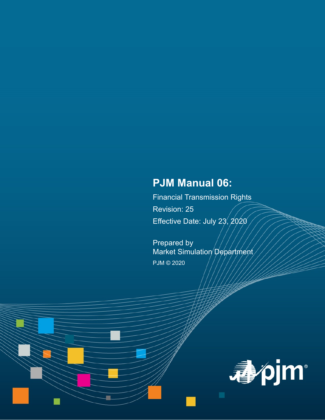# **PJM Manual 06:**

Financial Transmission Rights Revision: 25 Effective Date: July 23,  $2020$ 

Prepared by Market Simulation Department PJM © 2020

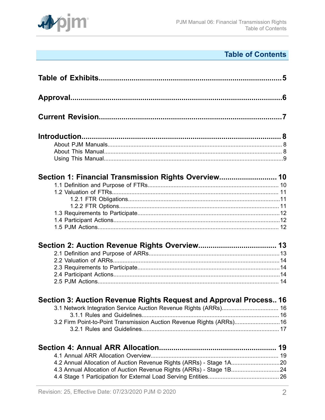

# **Table of Contents**

| Section 1: Financial Transmission Rights Overview 10                 |  |
|----------------------------------------------------------------------|--|
|                                                                      |  |
|                                                                      |  |
|                                                                      |  |
|                                                                      |  |
|                                                                      |  |
|                                                                      |  |
|                                                                      |  |
|                                                                      |  |
|                                                                      |  |
|                                                                      |  |
|                                                                      |  |
|                                                                      |  |
|                                                                      |  |
| Section 3: Auction Revenue Rights Request and Approval Process 16    |  |
| 3.1 Network Integration Service Auction Revenue Rights (ARRs) 16     |  |
|                                                                      |  |
| 3.2 Firm Point-to-Point Transmission Auction Revenue Rights (ARRs)16 |  |
|                                                                      |  |
|                                                                      |  |
|                                                                      |  |
| 4.2 Annual Allocation of Auction Revenue Rights (ARRs) - Stage 1A20  |  |
| 4.3 Annual Allocation of Auction Revenue Rights (ARRs) - Stage 1B24  |  |
|                                                                      |  |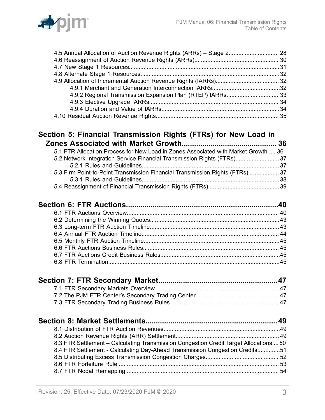

| 4.9.2 Regional Transmission Expansion Plan (RTEP) IARRs33                             |    |
|---------------------------------------------------------------------------------------|----|
|                                                                                       |    |
|                                                                                       |    |
|                                                                                       |    |
| Section 5: Financial Transmission Rights (FTRs) for New Load in                       |    |
|                                                                                       | 36 |
| 5.1 FTR Allocation Process for New Load in Zones Associated with Market Growth 36     |    |
| 5.2 Network Integration Service Financial Transmission Rights (FTRs)37                |    |
|                                                                                       |    |
| 5.3 Firm Point-to-Point Transmission Financial Transmission Rights (FTRs) 37          |    |
|                                                                                       |    |
|                                                                                       |    |
|                                                                                       |    |
|                                                                                       |    |
|                                                                                       |    |
|                                                                                       |    |
|                                                                                       |    |
|                                                                                       |    |
|                                                                                       |    |
|                                                                                       |    |
|                                                                                       |    |
|                                                                                       |    |
|                                                                                       |    |
|                                                                                       |    |
|                                                                                       |    |
|                                                                                       |    |
|                                                                                       |    |
|                                                                                       |    |
| 8.3 FTR Settlement - Calculating Transmission Congestion Credit Target Allocations 50 |    |
| 8.4 FTR Settlement - Calculating Day-Ahead Transmission Congestion Credits51          |    |
|                                                                                       |    |
|                                                                                       |    |
|                                                                                       |    |
|                                                                                       |    |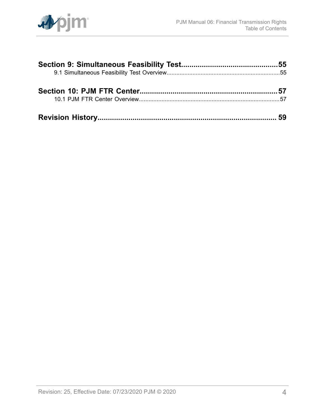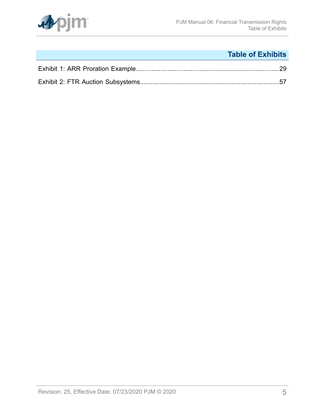

# **Table of Exhibits**

<span id="page-4-0"></span>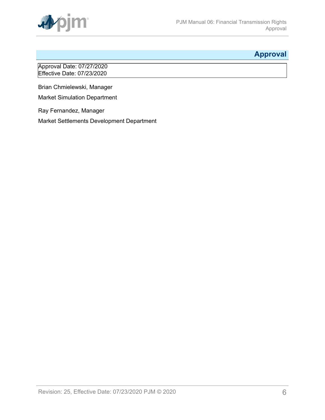

## <span id="page-5-0"></span>**Approval**

Approval Date: 07/27/2020 Effective Date: 07/23/2020

Brian Chmielewski, Manager

Market Simulation Department

Ray Fernandez, Manager

Market Settlements Development Department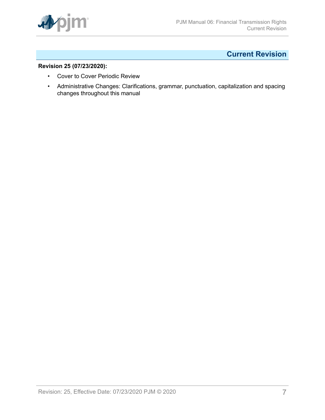

## <span id="page-6-0"></span>**Current Revision**

### **Revision 25 (07/23/2020):**

- Cover to Cover Periodic Review
- Administrative Changes: Clarifications, grammar, punctuation, capitalization and spacing changes throughout this manual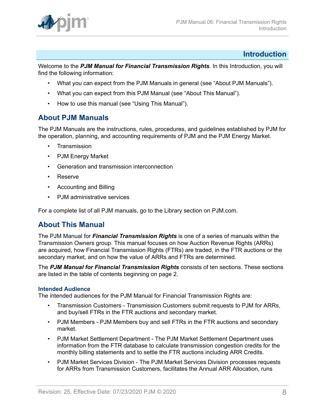

### <span id="page-7-0"></span>**Introduction**

Welcome to the *PJM Manual for Financial Transmission Rights*. In this Introduction, you will find the following information:

- What you can expect from the PJM Manuals in general (see "About PJM Manuals").
- What you can expect from this PJM Manual (see "About This Manual").
- How to use this manual (see "Using This Manual").

### <span id="page-7-1"></span>**About PJM Manuals**

The PJM Manuals are the instructions, rules, procedures, and guidelines established by PJM for the operation, planning, and accounting requirements of PJM and the PJM Energy Market.

- **Transmission**
- PJM Energy Market
- Generation and transmission interconnection
- Reserve
- Accounting and Billing
- PJM administrative services

For a complete list of all PJM manuals, go to the Library section on PJM.com.

### <span id="page-7-2"></span>**About This Manual**

The PJM Manual for *Financial Transmission Rights* is one of a series of manuals within the Transmission Owners group. This manual focuses on how Auction Revenue Rights (ARRs) are acquired, how Financial Transmission Rights (FTRs) are traded, in the FTR auctions or the secondary market, and on how the value of ARRs and FTRs are determined.

The *PJM Manual for Financial Transmission Rights* consists of ten sections. These sections are listed in the table of contents beginning on page 2.

#### **Intended Audience**

The intended audiences for the PJM Manual for Financial Transmission Rights are:

- Transmission Customers Transmission Customers submit requests to PJM for ARRs, and buy/sell FTRs in the FTR auctions and secondary market.
- PJM Members PJM Members buy and sell FTRs in the FTR auctions and secondary market.
- PJM Market Settlement Department The PJM Market Settlement Department uses information from the FTR database to calculate transmission congestion credits for the monthly billing statements and to settle the FTR auctions including ARR Credits.
- PJM Market Services Division The PJM Market Services Division processes requests for ARRs from Transmission Customers, facilitates the Annual ARR Allocation, runs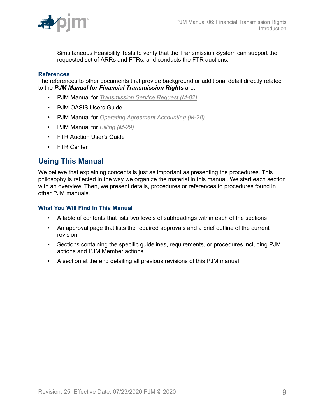

Simultaneous Feasibility Tests to verify that the Transmission System can support the requested set of ARRs and FTRs, and conducts the FTR auctions.

#### **References**

The references to other documents that provide background or additional detail directly related to the *PJM Manual for Financial Transmission Rights* are:

- PJM Manual for *[Transmission](http://www.pjm.com/~/media/documents/manuals/m02.ashx) Service Request (M-02)*
- PJM OASIS Users Guide
- PJM Manual for *[Operating Agreement Accounting \(M-28\)](http://www.pjm.com/~/media/documents/manuals/m28.ashx)*
- PJM Manual for *[Billing \(M-29\)](http://www.pjm.com/~/media/documents/manuals/m29.ashx)*
- FTR Auction User's Guide
- FTR Center

### <span id="page-8-0"></span>**Using This Manual**

We believe that explaining concepts is just as important as presenting the procedures. This philosophy is reflected in the way we organize the material in this manual. We start each section with an overview. Then, we present details, procedures or references to procedures found in other PJM manuals.

#### **What You Will Find In This Manual**

- A table of contents that lists two levels of subheadings within each of the sections
- An approval page that lists the required approvals and a brief outline of the current revision
- Sections containing the specific guidelines, requirements, or procedures including PJM actions and PJM Member actions
- A section at the end detailing all previous revisions of this PJM manual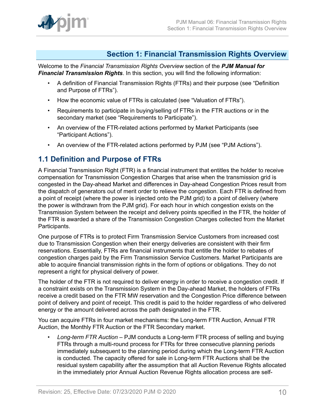

### <span id="page-9-0"></span>**Section 1: Financial Transmission Rights Overview**

Welcome to the *Financial Transmission Rights Overview* section of the *PJM Manual for Financial Transmission Rights*. In this section, you will find the following information:

- A definition of Financial Transmission Rights (FTRs) and their purpose (see "Definition and Purpose of FTRs").
- How the economic value of FTRs is calculated (see "Valuation of FTRs").
- Requirements to participate in buying/selling of FTRs in the FTR auctions or in the secondary market (see "Requirements to Participate").
- An overview of the FTR-related actions performed by Market Participants (see "Participant Actions").
- An overview of the FTR-related actions performed by PJM (see "PJM Actions").

### <span id="page-9-1"></span>**1.1 Definition and Purpose of FTRs**

A Financial Transmission Right (FTR) is a financial instrument that entitles the holder to receive compensation for Transmission Congestion Charges that arise when the transmission grid is congested in the Day-ahead Market and differences in Day-ahead Congestion Prices result from the dispatch of generators out of merit order to relieve the congestion. Each FTR is defined from a point of receipt (where the power is injected onto the PJM grid) to a point of delivery (where the power is withdrawn from the PJM grid). For each hour in which congestion exists on the Transmission System between the receipt and delivery points specified in the FTR, the holder of the FTR is awarded a share of the Transmission Congestion Charges collected from the Market Participants.

One purpose of FTRs is to protect Firm Transmission Service Customers from increased cost due to Transmission Congestion when their energy deliveries are consistent with their firm reservations. Essentially, FTRs are financial instruments that entitle the holder to rebates of congestion charges paid by the Firm Transmission Service Customers. Market Participants are able to acquire financial transmission rights in the form of options or obligations. They do not represent a right for physical delivery of power.

The holder of the FTR is not required to deliver energy in order to receive a congestion credit. If a constraint exists on the Transmission System in the Day-ahead Market, the holders of FTRs receive a credit based on the FTR MW reservation and the Congestion Price difference between point of delivery and point of receipt. This credit is paid to the holder regardless of who delivered energy or the amount delivered across the path designated in the FTR.

You can acquire FTRs in four market mechanisms: the Long-term FTR Auction, Annual FTR Auction, the Monthly FTR Auction or the FTR Secondary market.

• *Long-term FTR Auction* – PJM conducts a Long-term FTR process of selling and buying FTRs through a multi-round process for FTRs for three consecutive planning periods immediately subsequent to the planning period during which the Long-term FTR Auction is conducted. The capacity offered for sale in Long-term FTR Auctions shall be the residual system capability after the assumption that all Auction Revenue Rights allocated in the immediately prior Annual Auction Revenue Rights allocation process are self-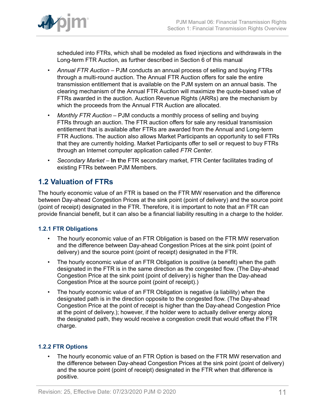

scheduled into FTRs, which shall be modeled as fixed injections and withdrawals in the Long-term FTR Auction, as further described in Section 6 of this manual

- *Annual FTR Auction –* PJM conducts an annual process of selling and buying FTRs through a multi-round auction. The Annual FTR Auction offers for sale the entire transmission entitlement that is available on the PJM system on an annual basis. The clearing mechanism of the Annual FTR Auction will maximize the quote-based value of FTRs awarded in the auction. Auction Revenue Rights (ARRs) are the mechanism by which the proceeds from the Annual FTR Auction are allocated.
- *Monthly FTR Auction –* PJM conducts a monthly process of selling and buying FTRs through an auction. The FTR auction offers for sale any residual transmission entitlement that is available after FTRs are awarded from the Annual and Long-term FTR Auctions. The auction also allows Market Participants an opportunity to sell FTRs that they are currently holding. Market Participants offer to sell or request to buy FTRs through an Internet computer application called *FTR Center*.
- *Secondary Market –* **In t**he FTR secondary market, FTR Center facilitates trading of existing FTRs between PJM Members.

## <span id="page-10-0"></span>**1.2 Valuation of FTRs**

The hourly economic value of an FTR is based on the FTR MW reservation and the difference between Day-ahead Congestion Prices at the sink point (point of delivery) and the source point (point of receipt) designated in the FTR. Therefore, it is important to note that an FTR can provide financial benefit, but it can also be a financial liability resulting in a charge to the holder.

### <span id="page-10-1"></span>**1.2.1 FTR Obligations**

- The hourly economic value of an FTR Obligation is based on the FTR MW reservation and the difference between Day-ahead Congestion Prices at the sink point (point of delivery) and the source point (point of receipt) designated in the FTR.
- The hourly economic value of an FTR Obligation is positive (a benefit) when the path designated in the FTR is in the same direction as the congested flow. (The Day-ahead Congestion Price at the sink point (point of delivery) is higher than the Day-ahead Congestion Price at the source point (point of receipt).)
- The hourly economic value of an FTR Obligation is negative (a liability) when the designated path is in the direction opposite to the congested flow. (The Day-ahead Congestion Price at the point of receipt is higher than the Day-ahead Congestion Price at the point of delivery.); however, if the holder were to actually deliver energy along the designated path, they would receive a congestion credit that would offset the FTR charge.

### <span id="page-10-2"></span>**1.2.2 FTR Options**

• The hourly economic value of an FTR Option is based on the FTR MW reservation and the difference between Day-ahead Congestion Prices at the sink point (point of delivery) and the source point (point of receipt) designated in the FTR when that difference is positive.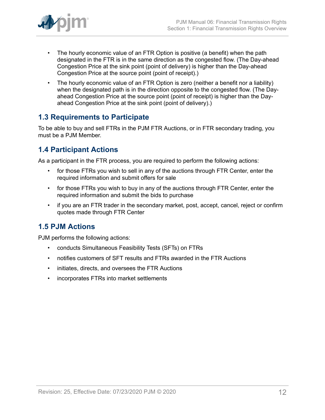

- The hourly economic value of an FTR Option is positive (a benefit) when the path designated in the FTR is in the same direction as the congested flow. (The Day-ahead Congestion Price at the sink point (point of delivery) is higher than the Day-ahead Congestion Price at the source point (point of receipt).)
- The hourly economic value of an FTR Option is zero (neither a benefit nor a liability) when the designated path is in the direction opposite to the congested flow. (The Dayahead Congestion Price at the source point (point of receipt) is higher than the Dayahead Congestion Price at the sink point (point of delivery).)

### <span id="page-11-0"></span>**1.3 Requirements to Participate**

To be able to buy and sell FTRs in the PJM FTR Auctions, or in FTR secondary trading, you must be a PJM Member.

## <span id="page-11-1"></span>**1.4 Participant Actions**

As a participant in the FTR process, you are required to perform the following actions:

- for those FTRs you wish to sell in any of the auctions through FTR Center, enter the required information and submit offers for sale
- for those FTRs you wish to buy in any of the auctions through FTR Center, enter the required information and submit the bids to purchase
- if you are an FTR trader in the secondary market, post, accept, cancel, reject or confirm quotes made through FTR Center

## <span id="page-11-2"></span>**1.5 PJM Actions**

PJM performs the following actions:

- conducts Simultaneous Feasibility Tests (SFTs) on FTRs
- notifies customers of SFT results and FTRs awarded in the FTR Auctions
- initiates, directs, and oversees the FTR Auctions
- incorporates FTRs into market settlements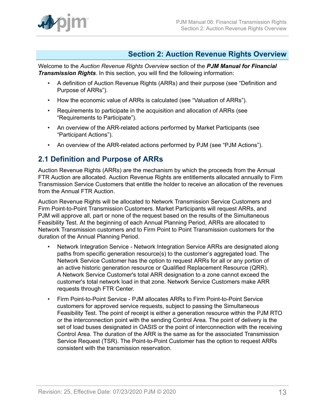

### <span id="page-12-0"></span>**Section 2: Auction Revenue Rights Overview**

Welcome to the *Auction Revenue Rights Overview* section of the *PJM Manual for Financial Transmission Rights*. In this section, you will find the following information:

- A definition of Auction Revenue Rights (ARRs) and their purpose (see "Definition and Purpose of ARRs").
- How the economic value of ARRs is calculated (see "Valuation of ARRs").
- Requirements to participate in the acquisition and allocation of ARRs (see "Requirements to Participate").
- An overview of the ARR-related actions performed by Market Participants (see "Participant Actions").
- An overview of the ARR-related actions performed by PJM (see "PJM Actions").

### <span id="page-12-1"></span>**2.1 Definition and Purpose of ARRs**

Auction Revenue Rights (ARRs) are the mechanism by which the proceeds from the Annual FTR Auction are allocated. Auction Revenue Rights are entitlements allocated annually to Firm Transmission Service Customers that entitle the holder to receive an allocation of the revenues from the Annual FTR Auction.

Auction Revenue Rights will be allocated to Network Transmission Service Customers and Firm Point-to-Point Transmission Customers. Market Participants will request ARRs, and PJM will approve all, part or none of the request based on the results of the Simultaneous Feasibility Test. At the beginning of each Annual Planning Period, ARRs are allocated to Network Transmission customers and to Firm Point to Point Transmission customers for the duration of the Annual Planning Period.

- Network Integration Service Network Integration Service ARRs are designated along paths from specific generation resource(s) to the customer's aggregated load. The Network Service Customer has the option to request ARRs for all or any portion of an active historic generation resource or Qualified Replacement Resource (QRR). A Network Service Customer's total ARR designation to a zone cannot exceed the customer's total network load in that zone. Network Service Customers make ARR requests through FTR Center.
- Firm Point-to-Point Service PJM allocates ARRs to Firm Point-to-Point Service customers for approved service requests, subject to passing the Simultaneous Feasibility Test. The point of receipt is either a generation resource within the PJM RTO or the interconnection point with the sending Control Area. The point of delivery is the set of load buses designated in OASIS or the point of interconnection with the receiving Control Area. The duration of the ARR is the same as for the associated Transmission Service Request (TSR). The Point-to-Point Customer has the option to request ARRs consistent with the transmission reservation.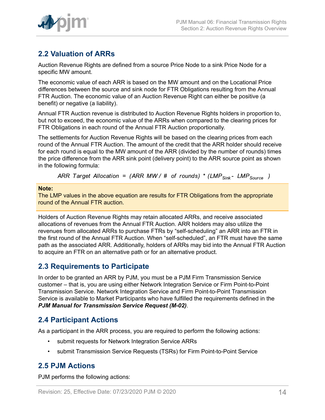

## <span id="page-13-0"></span>**2.2 Valuation of ARRs**

Auction Revenue Rights are defined from a source Price Node to a sink Price Node for a specific MW amount.

The economic value of each ARR is based on the MW amount and on the Locational Price differences between the source and sink node for FTR Obligations resulting from the Annual FTR Auction. The economic value of an Auction Revenue Right can either be positive (a benefit) or negative (a liability).

Annual FTR Auction revenue is distributed to Auction Revenue Rights holders in proportion to, but not to exceed, the economic value of the ARRs when compared to the clearing prices for FTR Obligations in each round of the Annual FTR Auction proportionally.

The settlements for Auction Revenue Rights will be based on the clearing prices from each round of the Annual FTR Auction. The amount of the credit that the ARR holder should receive for each round is equal to the MW amount of the ARR (divided by the number of rounds) times the price difference from the ARR sink point (delivery point) to the ARR source point as shown in the following formula:

ARR Target Allocation = (ARR MW/ # of rounds) \* (LMP<sub>Sink</sub> - LMP<sub>Source</sub>)

#### **Note:**

The LMP values in the above equation are results for FTR Obligations from the appropriate round of the Annual FTR auction.

Holders of Auction Revenue Rights may retain allocated ARRs, and receive associated allocations of revenues from the Annual FTR Auction. ARR holders may also utilize the revenues from allocated ARRs to purchase FTRs by "self-scheduling" an ARR into an FTR in the first round of the Annual FTR Auction. When "self-scheduled", an FTR must have the same path as the associated ARR. Additionally, holders of ARRs may bid into the Annual FTR Auction to acquire an FTR on an alternative path or for an alternative product.

### <span id="page-13-1"></span>**2.3 Requirements to Participate**

In order to be granted an ARR by PJM, you must be a PJM Firm Transmission Service customer – that is, you are using either Network Integration Service or Firm Point-to-Point Transmission Service. Network Integration Service and Firm Point-to-Point Transmission Service is available to Market Participants who have fulfilled the requirements defined in the *PJM Manual for Transmission Service Request (M-02)*.

## <span id="page-13-2"></span>**2.4 Participant Actions**

As a participant in the ARR process, you are required to perform the following actions:

- submit requests for Network Integration Service ARRs
- submit Transmission Service Requests (TSRs) for Firm Point-to-Point Service

## <span id="page-13-3"></span>**2.5 PJM Actions**

PJM performs the following actions: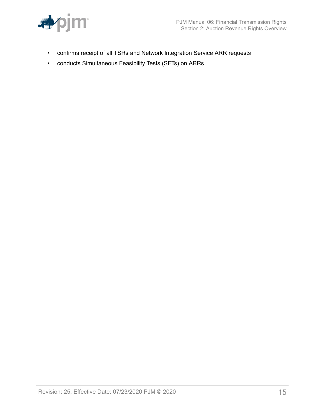

- confirms receipt of all TSRs and Network Integration Service ARR requests
- conducts Simultaneous Feasibility Tests (SFTs) on ARRs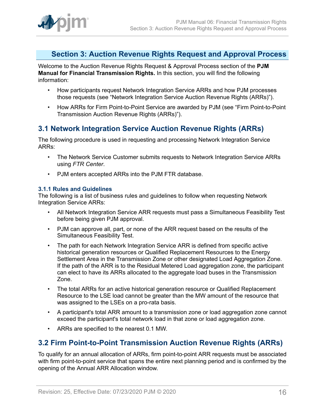

### <span id="page-15-0"></span>**Section 3: Auction Revenue Rights Request and Approval Process**

Welcome to the Auction Revenue Rights Request & Approval Process section of the **PJM Manual for Financial Transmission Rights.** In this section, you will find the following information:

- How participants request Network Integration Service ARRs and how PJM processes those requests (see "Network Integration Service Auction Revenue Rights (ARRs)").
- How ARRs for Firm Point-to-Point Service are awarded by PJM (see "Firm Point-to-Point Transmission Auction Revenue Rights (ARRs)").

### <span id="page-15-1"></span>**3.1 Network Integration Service Auction Revenue Rights (ARRs)**

The following procedure is used in requesting and processing Network Integration Service ARRs:

- The Network Service Customer submits requests to Network Integration Service ARRs using *FTR Center*.
- PJM enters accepted ARRs into the PJM FTR database.

### <span id="page-15-2"></span>**3.1.1 Rules and Guidelines**

The following is a list of business rules and guidelines to follow when requesting Network Integration Service ARRs:

- All Network Integration Service ARR requests must pass a Simultaneous Feasibility Test before being given PJM approval.
- PJM can approve all, part, or none of the ARR request based on the results of the Simultaneous Feasibility Test.
- The path for each Network Integration Service ARR is defined from specific active historical generation resources or Qualified Replacement Resources to the Energy Settlement Area in the Transmission Zone or other designated Load Aggregation Zone. If the path of the ARR is to the Residual Metered Load aggregation zone, the participant can elect to have its ARRs allocated to the aggregate load buses in the Transmission Zone.
- The total ARRs for an active historical generation resource or Qualified Replacement Resource to the LSE load cannot be greater than the MW amount of the resource that was assigned to the LSEs on a pro-rata basis.
- A participant's total ARR amount to a transmission zone or load aggregation zone cannot exceed the participant's total network load in that zone or load aggregation zone.
- ARRs are specified to the nearest 0.1 MW.

## <span id="page-15-3"></span>**3.2 Firm Point-to-Point Transmission Auction Revenue Rights (ARRs)**

To qualify for an annual allocation of ARRs, firm point-to-point ARR requests must be associated with firm point-to-point service that spans the entire next planning period and is confirmed by the opening of the Annual ARR Allocation window.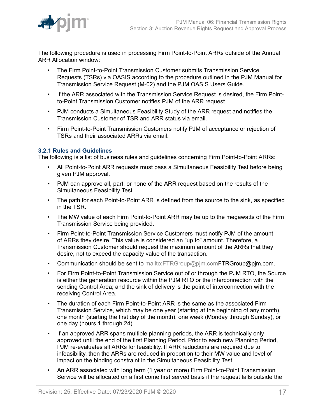

The following procedure is used in processing Firm Point-to-Point ARRs outside of the Annual ARR Allocation window:

- The Firm Point-to-Point Transmission Customer submits Transmission Service Requests (TSRs) via OASIS according to the procedure outlined in the PJM Manual for Transmission Service Request (M-02) and the PJM OASIS Users Guide.
- If the ARR associated with the Transmission Service Request is desired, the Firm Pointto-Point Transmission Customer notifies PJM of the ARR request.
- PJM conducts a Simultaneous Feasibility Study of the ARR request and notifies the Transmission Customer of TSR and ARR status via email.
- Firm Point-to-Point Transmission Customers notify PJM of acceptance or rejection of TSRs and their associated ARRs via email.

### <span id="page-16-0"></span>**3.2.1 Rules and Guidelines**

The following is a list of business rules and guidelines concerning Firm Point-to-Point ARRs:

- All Point-to-Point ARR requests must pass a Simultaneous Feasibility Test before being given PJM approval.
- PJM can approve all, part, or none of the ARR request based on the results of the Simultaneous Feasibility Test.
- The path for each Point-to-Point ARR is defined from the source to the sink, as specified in the TSR.
- The MW value of each Firm Point-to-Point ARR may be up to the megawatts of the Firm Transmission Service being provided.
- Firm Point-to-Point Transmission Service Customers must notify PJM of the amount of ARRs they desire. This value is considered an "up to" amount. Therefore, a Transmission Customer should request the maximum amount of the ARRs that they desire, not to exceed the capacity value of the transaction.
- Communication should be sent to mailto: FTRGroup@pjm.com FTRGroup@pjm.com.
- For Firm Point-to-Point Transmission Service out of or through the PJM RTO, the Source is either the generation resource within the PJM RTO or the interconnection with the sending Control Area; and the sink of delivery is the point of interconnection with the receiving Control Area.
- The duration of each Firm Point-to-Point ARR is the same as the associated Firm Transmission Service, which may be one year (starting at the beginning of any month), one month (starting the first day of the month), one week (Monday through Sunday), or one day (hours 1 through 24).
- If an approved ARR spans multiple planning periods, the ARR is technically only approved until the end of the first Planning Period. Prior to each new Planning Period, PJM re-evaluates all ARRs for feasibility. If ARR reductions are required due to infeasibility, then the ARRs are reduced in proportion to their MW value and level of impact on the binding constraint in the Simultaneous Feasibility Test.
- An ARR associated with long term (1 year or more) Firm Point-to-Point Transmission Service will be allocated on a first come first served basis if the request falls outside the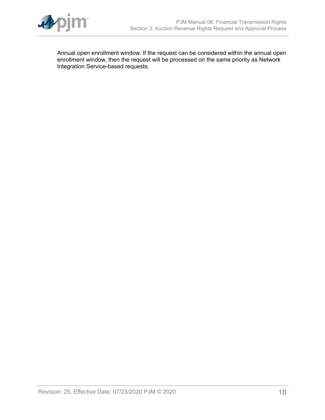

Annual open enrollment window. If the request can be considered within the annual open enrollment window, then the request will be processed on the same priority as Network Integration Service-based requests.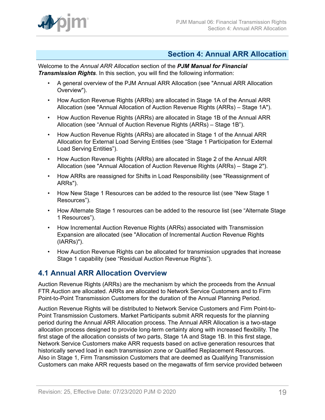

### <span id="page-18-0"></span>**Section 4: Annual ARR Allocation**

Welcome to the *Annual ARR Allocation* section of the *PJM Manual for Financial Transmission Rights*. In this section, you will find the following information:

- A general overview of the PJM Annual ARR Allocation (see "Annual ARR Allocation Overview").
- How Auction Revenue Rights (ARRs) are allocated in Stage 1A of the Annual ARR Allocation (see "Annual Allocation of Auction Revenue Rights (ARRs) – Stage 1A").
- How Auction Revenue Rights (ARRs) are allocated in Stage 1B of the Annual ARR Allocation (see "Annual of Auction Revenue Rights (ARRs) – Stage 1B").
- How Auction Revenue Rights (ARRs) are allocated in Stage 1 of the Annual ARR Allocation for External Load Serving Entities (see "Stage 1 Participation for External Load Serving Entities").
- How Auction Revenue Rights (ARRs) are allocated in Stage 2 of the Annual ARR Allocation (see "Annual Allocation of Auction Revenue Rights (ARRs) – Stage 2").
- How ARRs are reassigned for Shifts in Load Responsibility (see "Reassignment of ARRs").
- How New Stage 1 Resources can be added to the resource list (see "New Stage 1 Resources").
- How Alternate Stage 1 resources can be added to the resource list (see "Alternate Stage 1 Resources").
- How Incremental Auction Revenue Rights (ARRs) associated with Transmission Expansion are allocated (see "Allocation of Incremental Auction Revenue Rights (IARRs)").
- How Auction Revenue Rights can be allocated for transmission upgrades that increase Stage 1 capability (see "Residual Auction Revenue Rights").

## <span id="page-18-1"></span>**4.1 Annual ARR Allocation Overview**

Auction Revenue Rights (ARRs) are the mechanism by which the proceeds from the Annual FTR Auction are allocated. ARRs are allocated to Network Service Customers and to Firm Point-to-Point Transmission Customers for the duration of the Annual Planning Period.

Auction Revenue Rights will be distributed to Network Service Customers and Firm Point-to-Point Transmission Customers. Market Participants submit ARR requests for the planning period during the Annual ARR Allocation process. The Annual ARR Allocation is a two-stage allocation process designed to provide long-term certainty along with increased flexibility. The first stage of the allocation consists of two parts, Stage 1A and Stage 1B. In this first stage, Network Service Customers make ARR requests based on active generation resources that historically served load in each transmission zone or Qualified Replacement Resources. Also in Stage 1, Firm Transmission Customers that are deemed as Qualifying Transmission Customers can make ARR requests based on the megawatts of firm service provided between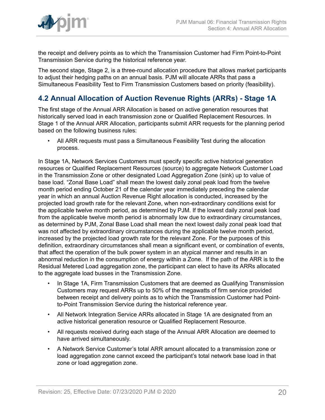

the receipt and delivery points as to which the Transmission Customer had Firm Point-to-Point Transmission Service during the historical reference year.

The second stage, Stage 2, is a three-round allocation procedure that allows market participants to adjust their hedging paths on an annual basis. PJM will allocate ARRs that pass a Simultaneous Feasibility Test to Firm Transmission Customers based on priority (feasibility).

## <span id="page-19-0"></span>**4.2 Annual Allocation of Auction Revenue Rights (ARRs) - Stage 1A**

The first stage of the Annual ARR Allocation is based on active generation resources that historically served load in each transmission zone or Qualified Replacement Resources. In Stage 1 of the Annual ARR Allocation, participants submit ARR requests for the planning period based on the following business rules:

• All ARR requests must pass a Simultaneous Feasibility Test during the allocation process.

In Stage 1A, Network Services Customers must specify specific active historical generation resources or Qualified Replacement Resources (source) to aggregate Network Customer Load in the Transmission Zone or other designated Load Aggregation Zone (sink) up to value of base load. "Zonal Base Load" shall mean the lowest daily zonal peak load from the twelve month period ending October 21 of the calendar year immediately preceding the calendar year in which an annual Auction Revenue Right allocation is conducted, increased by the projected load growth rate for the relevant Zone, when non-extraordinary conditions exist for the applicable twelve month period, as determined by PJM. If the lowest daily zonal peak load from the applicable twelve month period is abnormally low due to extraordinary circumstances, as determined by PJM, Zonal Base Load shall mean the next lowest daily zonal peak load that was not affected by extraordinary circumstances during the applicable twelve month period, increased by the projected load growth rate for the relevant Zone. For the purposes of this definition, extraordinary circumstances shall mean a significant event, or combination of events, that affect the operation of the bulk power system in an atypical manner and results in an abnormal reduction in the consumption of energy within a Zone. If the path of the ARR is to the Residual Metered Load aggregation zone, the participant can elect to have its ARRs allocated to the aggregate load busses in the Transmission Zone.

- In Stage 1A, Firm Transmission Customers that are deemed as Qualifying Transmission Customers may request ARRs up to 50% of the megawatts of firm service provided between receipt and delivery points as to which the Transmission Customer had Pointto-Point Transmission Service during the historical reference year.
- All Network Integration Service ARRs allocated in Stage 1A are designated from an active historical generation resource or Qualified Replacement Resource.
- All requests received during each stage of the Annual ARR Allocation are deemed to have arrived simultaneously.
- A Network Service Customer's total ARR amount allocated to a transmission zone or load aggregation zone cannot exceed the participant's total network base load in that zone or load aggregation zone.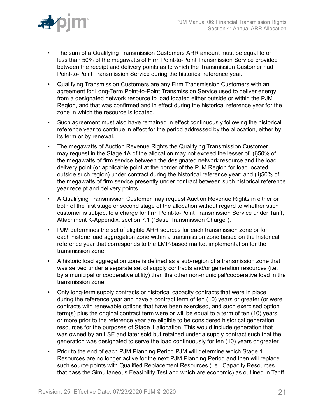

- The sum of a Qualifying Transmission Customers ARR amount must be equal to or less than 50% of the megawatts of Firm Point-to-Point Transmission Service provided between the receipt and delivery points as to which the Transmission Customer had Point-to-Point Transmission Service during the historical reference year.
- Qualifying Transmission Customers are any Firm Transmission Customers with an agreement for Long-Term Point-to-Point Transmission Service used to deliver energy from a designated network resource to load located either outside or within the PJM Region, and that was confirmed and in effect during the historical reference year for the zone in which the resource is located.
- Such agreement must also have remained in effect continuously following the historical reference year to continue in effect for the period addressed by the allocation, either by its term or by renewal.
- The megawatts of Auction Revenue Rights the Qualifying Transmission Customer may request in the Stage 1A of the allocation may not exceed the lesser of: (i)50% of the megawatts of firm service between the designated network resource and the load delivery point (or applicable point at the border of the PJM Region for load located outside such region) under contract during the historical reference year; and (ii)50% of the megawatts of firm service presently under contract between such historical reference year receipt and delivery points.
- A Qualifying Transmission Customer may request Auction Revenue Rights in either or both of the first stage or second stage of the allocation without regard to whether such customer is subject to a charge for firm Point-to-Point Transmission Service under Tariff, Attachment K-Appendix, section 7.1 ("Base Transmission Charge").
- PJM determines the set of eligible ARR sources for each transmission zone or for each historic load aggregation zone within a transmission zone based on the historical reference year that corresponds to the LMP-based market implementation for the transmission zone.
- A historic load aggregation zone is defined as a sub-region of a transmission zone that was served under a separate set of supply contracts and/or generation resources (i.e. by a municipal or cooperative utility) than the other non-municipal/cooperative load in the transmission zone.
- Only long-term supply contracts or historical capacity contracts that were in place during the reference year and have a contract term of ten (10) years or greater (or were contracts with renewable options that have been exercised, and such exercised option term(s) plus the original contract term were or will be equal to a term of ten (10) years or more prior to the reference year are eligible to be considered historical generation resources for the purposes of Stage 1 allocation. This would include generation that was owned by an LSE and later sold but retained under a supply contract such that the generation was designated to serve the load continuously for ten (10) years or greater.
- Prior to the end of each PJM Planning Period PJM will determine which Stage 1 Resources are no longer active for the next PJM Planning Period and then will replace such source points with Qualified Replacement Resources (i.e., Capacity Resources that pass the Simultaneous Feasibility Test and which are economic) as outlined in Tariff,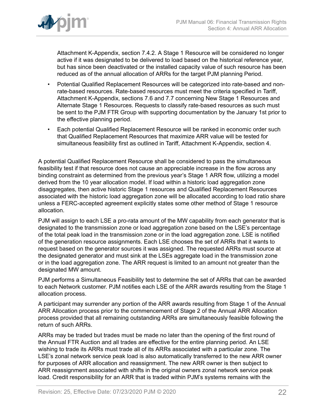

Attachment K-Appendix, section 7.4.2. A Stage 1 Resource will be considered no longer active if it was designated to be delivered to load based on the historical reference year, but has since been deactivated or the installed capacity value of such resource has been reduced as of the annual allocation of ARRs for the target PJM planning Period.

- Potential Qualified Replacement Resources will be categorized into rate-based and nonrate-based resources. Rate-based resources must meet the criteria specified in Tariff, Attachment K-Appendix, sections 7.6 and 7.7 concerning New Stage 1 Resources and Alternate Stage 1 Resources. Requests to classify rate-based resources as such must be sent to the PJM FTR Group with supporting documentation by the January 1st prior to the effective planning period.
- Each potential Qualified Replacement Resource will be ranked in economic order such that Qualified Replacement Resources that maximize ARR value will be tested for simultaneous feasibility first as outlined in Tariff, Attachment K-Appendix, section 4.

A potential Qualified Replacement Resource shall be considered to pass the simultaneous feasibility test if that resource does not cause an appreciable increase in the flow across any binding constraint as determined from the previous year's Stage 1 ARR flow, utilizing a model derived from the 10 year allocation model. If load within a historic load aggregation zone disaggregates, then active historic Stage 1 resources and Qualified Replacement Resources associated with the historic load aggregation zone will be allocated according to load ratio share unless a FERC-accepted agreement explicitly states some other method of Stage 1 resource allocation.

PJM will assign to each LSE a pro-rata amount of the MW capability from each generator that is designated to the transmission zone or load aggregation zone based on the LSE's percentage of the total peak load in the transmission zone or in the load aggregation zone. LSE is notified of the generation resource assignments. Each LSE chooses the set of ARRs that it wants to request based on the generator sources it was assigned. The requested ARRs must source at the designated generator and must sink at the LSEs aggregate load in the transmission zone or in the load aggregation zone. The ARR request is limited to an amount not greater than the designated MW amount.

PJM performs a Simultaneous Feasibility test to determine the set of ARRs that can be awarded to each Network customer. PJM notifies each LSE of the ARR awards resulting from the Stage 1 allocation process.

A participant may surrender any portion of the ARR awards resulting from Stage 1 of the Annual ARR Allocation process prior to the commencement of Stage 2 of the Annual ARR Allocation process provided that all remaining outstanding ARRs are simultaneously feasible following the return of such ARRs.

ARRs may be traded but trades must be made no later than the opening of the first round of the Annual FTR Auction and all trades are effective for the entire planning period. An LSE wishing to trade its ARRs must trade all of its ARRs associated with a particular zone. The LSE's zonal network service peak load is also automatically transferred to the new ARR owner for purposes of ARR allocation and reassignment. The new ARR owner is then subject to ARR reassignment associated with shifts in the original owners zonal network service peak load. Credit responsibility for an ARR that is traded within PJM's systems remains with the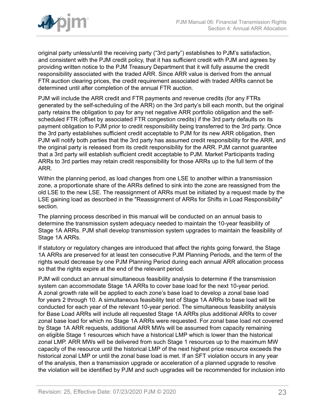

original party unless/until the receiving party ("3rd party") establishes to PJM's satisfaction, and consistent with the PJM credit policy, that it has sufficient credit with PJM and agrees by providing written notice to the PJM Treasury Department that it will fully assume the credit responsibility associated with the traded ARR. Since ARR value is derived from the annual FTR auction clearing prices, the credit requirement associated with traded ARRs cannot be determined until after completion of the annual FTR auction.

PJM will include the ARR credit and FTR payments and revenue credits (for any FTRs generated by the self-scheduling of the ARR) on the 3rd party's bill each month, but the original party retains the obligation to pay for any net negative ARR portfolio obligation and the selfscheduled FTR (offset by associated FTR congestion credits) if the 3rd party defaults on its payment obligation to PJM prior to credit responsibility being transferred to the 3rd party. Once the 3rd party establishes sufficient credit acceptable to PJM for its new ARR obligation, then PJM will notify both parties that the 3rd party has assumed credit responsibility for the ARR, and the original party is released from its credit responsibility for the ARR. PJM cannot guarantee that a 3rd party will establish sufficient credit acceptable to PJM. Market Participants trading ARRs to 3rd parties may retain credit responsibility for those ARRs up to the full term of the ARR.

Within the planning period, as load changes from one LSE to another within a transmission zone, a proportionate share of the ARRs defined to sink into the zone are reassigned from the old LSE to the new LSE. The reassignment of ARRs must be initiated by a request made by the LSE gaining load as described in the "Reassignment of ARRs for Shifts in Load Responsibility" section.

The planning process described in this manual will be conducted on an annual basis to determine the transmission system adequacy needed to maintain the 10-year feasibility of Stage 1A ARRs. PJM shall develop transmission system upgrades to maintain the feasibility of Stage 1A ARRs.

If statutory or regulatory changes are introduced that affect the rights going forward, the Stage 1A ARRs are preserved for at least ten consecutive PJM Planning Periods, and the term of the rights would decrease by one PJM Planning Period during each annual ARR allocation process so that the rights expire at the end of the relevant period.

PJM will conduct an annual simultaneous feasibility analysis to determine if the transmission system can accommodate Stage 1A ARRs to cover base load for the next 10-year period. A zonal growth rate will be applied to each zone's base load to develop a zonal base load for years 2 through 10. A simultaneous feasibility test of Stage 1A ARRs to base load will be conducted for each year of the relevant 10-year period. The simultaneous feasibility analysis for Base Load ARRs will include all requested Stage 1A ARRs plus additional ARRs to cover zonal base load for which no Stage 1A ARRs were requested. For zonal base load not covered by Stage 1A ARR requests, additional ARR MWs will be assumed from capacity remaining on eligible Stage 1 resources which have a historical LMP which is lower than the historical zonal LMP. ARR MWs will be delivered from such Stage 1 resources up to the maximum MW capacity of the resource until the historical LMP of the next highest price resource exceeds the historical zonal LMP or until the zonal base load is met. If an SFT violation occurs in any year of the analysis, then a transmission upgrade or acceleration of a planned upgrade to resolve the violation will be identified by PJM and such upgrades will be recommended for inclusion into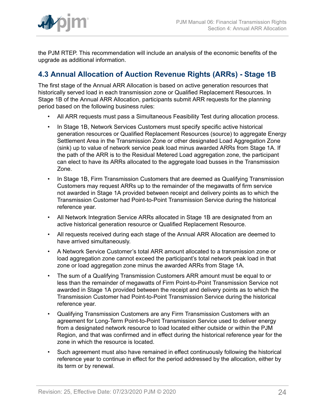

the PJM RTEP. This recommendation will include an analysis of the economic benefits of the upgrade as additional information.

## <span id="page-23-0"></span>**4.3 Annual Allocation of Auction Revenue Rights (ARRs) - Stage 1B**

The first stage of the Annual ARR Allocation is based on active generation resources that historically served load in each transmission zone or Qualified Replacement Resources. In Stage 1B of the Annual ARR Allocation, participants submit ARR requests for the planning period based on the following business rules:

- All ARR requests must pass a Simultaneous Feasibility Test during allocation process.
- In Stage 1B, Network Services Customers must specify specific active historical generation resources or Qualified Replacement Resources (source) to aggregate Energy Settlement Area in the Transmission Zone or other designated Load Aggregation Zone (sink) up to value of network service peak load minus awarded ARRs from Stage 1A. If the path of the ARR is to the Residual Metered Load aggregation zone, the participant can elect to have its ARRs allocated to the aggregate load busses in the Transmission Zone.
- In Stage 1B, Firm Transmission Customers that are deemed as Qualifying Transmission Customers may request ARRs up to the remainder of the megawatts of firm service not awarded in Stage 1A provided between receipt and delivery points as to which the Transmission Customer had Point-to-Point Transmission Service during the historical reference year.
- All Network Integration Service ARRs allocated in Stage 1B are designated from an active historical generation resource or Qualified Replacement Resource.
- All requests received during each stage of the Annual ARR Allocation are deemed to have arrived simultaneously.
- A Network Service Customer's total ARR amount allocated to a transmission zone or load aggregation zone cannot exceed the participant's total network peak load in that zone or load aggregation zone minus the awarded ARRs from Stage 1A.
- The sum of a Qualifying Transmission Customers ARR amount must be equal to or less than the remainder of megawatts of Firm Point-to-Point Transmission Service not awarded in Stage 1A provided between the receipt and delivery points as to which the Transmission Customer had Point-to-Point Transmission Service during the historical reference year.
- Qualifying Transmission Customers are any Firm Transmission Customers with an agreement for Long-Term Point-to-Point Transmission Service used to deliver energy from a designated network resource to load located either outside or within the PJM Region, and that was confirmed and in effect during the historical reference year for the zone in which the resource is located.
- Such agreement must also have remained in effect continuously following the historical reference year to continue in effect for the period addressed by the allocation, either by its term or by renewal.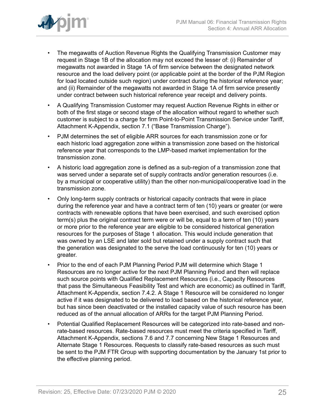

- The megawatts of Auction Revenue Rights the Qualifying Transmission Customer may request in Stage 1B of the allocation may not exceed the lesser of: (i) Remainder of megawatts not awarded in Stage 1A of firm service between the designated network resource and the load delivery point (or applicable point at the border of the PJM Region for load located outside such region) under contract during the historical reference year; and (ii) Remainder of the megawatts not awarded in Stage 1A of firm service presently under contract between such historical reference year receipt and delivery points.
- A Qualifying Transmission Customer may request Auction Revenue Rights in either or both of the first stage or second stage of the allocation without regard to whether such customer is subject to a charge for firm Point-to-Point Transmission Service under Tariff, Attachment K-Appendix, section 7.1 ("Base Transmission Charge").
- PJM determines the set of eligible ARR sources for each transmission zone or for each historic load aggregation zone within a transmission zone based on the historical reference year that corresponds to the LMP-based market implementation for the transmission zone.
- A historic load aggregation zone is defined as a sub-region of a transmission zone that was served under a separate set of supply contracts and/or generation resources (i.e. by a municipal or cooperative utility) than the other non-municipal/cooperative load in the transmission zone.
- Only long-term supply contracts or historical capacity contracts that were in place during the reference year and have a contract term of ten (10) years or greater (or were contracts with renewable options that have been exercised, and such exercised option term(s) plus the original contract term were or will be, equal to a term of ten (10) years or more prior to the reference year are eligible to be considered historical generation resources for the purposes of Stage 1 allocation. This would include generation that was owned by an LSE and later sold but retained under a supply contract such that the generation was designated to the serve the load continuously for ten (10) years or greater.
- Prior to the end of each PJM Planning Period PJM will determine which Stage 1 Resources are no longer active for the next PJM Planning Period and then will replace such source points with Qualified Replacement Resources (i.e., Capacity Resources that pass the Simultaneous Feasibility Test and which are economic) as outlined in Tariff, Attachment K-Appendix, section 7.4.2. A Stage 1 Resource will be considered no longer active if it was designated to be delivered to load based on the historical reference year, but has since been deactivated or the installed capacity value of such resource has been reduced as of the annual allocation of ARRs for the target PJM Planning Period.
- Potential Qualified Replacement Resources will be categorized into rate-based and nonrate-based resources. Rate-based resources must meet the criteria specified in Tariff, Attachment K-Appendix, sections 7.6 and 7.7 concerning New Stage 1 Resources and Alternate Stage 1 Resources. Requests to classify rate-based resources as such must be sent to the PJM FTR Group with supporting documentation by the January 1st prior to the effective planning period.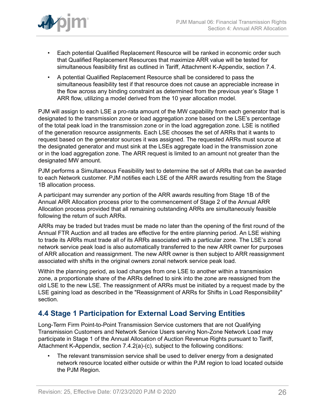

- Each potential Qualified Replacement Resource will be ranked in economic order such that Qualified Replacement Resources that maximize ARR value will be tested for simultaneous feasibility first as outlined in Tariff, Attachment K-Appendix, section 7.4.
- A potential Qualified Replacement Resource shall be considered to pass the simultaneous feasibility test if that resource does not cause an appreciable increase in the flow across any binding constraint as determined from the previous year's Stage 1 ARR flow, utilizing a model derived from the 10 year allocation model.

PJM will assign to each LSE a pro-rata amount of the MW capability from each generator that is designated to the transmission zone or load aggregation zone based on the LSE's percentage of the total peak load in the transmission zone or in the load aggregation zone. LSE is notified of the generation resource assignments. Each LSE chooses the set of ARRs that it wants to request based on the generator sources it was assigned. The requested ARRs must source at the designated generator and must sink at the LSEs aggregate load in the transmission zone or in the load aggregation zone. The ARR request is limited to an amount not greater than the designated MW amount.

PJM performs a Simultaneous Feasibility test to determine the set of ARRs that can be awarded to each Network customer. PJM notifies each LSE of the ARR awards resulting from the Stage 1B allocation process.

A participant may surrender any portion of the ARR awards resulting from Stage 1B of the Annual ARR Allocation process prior to the commencement of Stage 2 of the Annual ARR Allocation process provided that all remaining outstanding ARRs are simultaneously feasible following the return of such ARRs.

ARRs may be traded but trades must be made no later than the opening of the first round of the Annual FTR Auction and all trades are effective for the entire planning period. An LSE wishing to trade its ARRs must trade all of its ARRs associated with a particular zone. The LSE's zonal network service peak load is also automatically transferred to the new ARR owner for purposes of ARR allocation and reassignment. The new ARR owner is then subject to ARR reassignment associated with shifts in the original owners zonal network service peak load.

Within the planning period, as load changes from one LSE to another within a transmission zone, a proportionate share of the ARRs defined to sink into the zone are reassigned from the old LSE to the new LSE. The reassignment of ARRs must be initiated by a request made by the LSE gaining load as described in the "Reassignment of ARRs for Shifts in Load Responsibility" section.

### <span id="page-25-0"></span>**4.4 Stage 1 Participation for External Load Serving Entities**

Long-Term Firm Point-to-Point Transmission Service customers that are not Qualifying Transmission Customers and Network Service Users serving Non-Zone Network Load may participate in Stage 1 of the Annual Allocation of Auction Revenue Rights pursuant to Tariff, Attachment K-Appendix, section 7.4.2(a)-(c), subject to the following conditions:

The relevant transmission service shall be used to deliver energy from a designated network resource located either outside or within the PJM region to load located outside the PJM Region.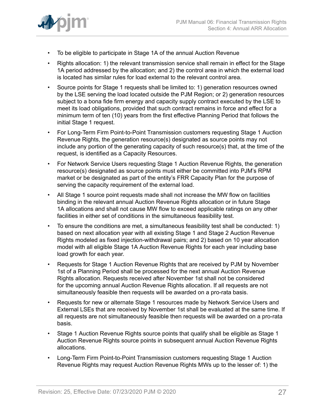

- To be eligible to participate in Stage 1A of the annual Auction Revenue
- Rights allocation: 1) the relevant transmission service shall remain in effect for the Stage 1A period addressed by the allocation; and 2) the control area in which the external load is located has similar rules for load external to the relevant control area.
- Source points for Stage 1 requests shall be limited to: 1) generation resources owned by the LSE serving the load located outside the PJM Region; or 2) generation resources subject to a bona fide firm energy and capacity supply contract executed by the LSE to meet its load obligations, provided that such contract remains in force and effect for a minimum term of ten (10) years from the first effective Planning Period that follows the initial Stage 1 request.
- For Long-Term Firm Point-to-Point Transmission customers requesting Stage 1 Auction Revenue Rights, the generation resource(s) designated as source points may not include any portion of the generating capacity of such resource(s) that, at the time of the request, is identified as a Capacity Resources.
- For Network Service Users requesting Stage 1 Auction Revenue Rights, the generation resource(s) designated as source points must either be committed into PJM's RPM market or be designated as part of the entity's FRR Capacity Plan for the purpose of serving the capacity requirement of the external load.
- All Stage 1 source point requests made shall not increase the MW flow on facilities binding in the relevant annual Auction Revenue Rights allocation or in future Stage 1A allocations and shall not cause MW flow to exceed applicable ratings on any other facilities in either set of conditions in the simultaneous feasibility test.
- To ensure the conditions are met, a simultaneous feasibility test shall be conducted: 1) based on next allocation year with all existing Stage 1 and Stage 2 Auction Revenue Rights modeled as fixed injection-withdrawal pairs; and 2) based on 10 year allocation model with all eligible Stage 1A Auction Revenue Rights for each year including base load growth for each year.
- Requests for Stage 1 Auction Revenue Rights that are received by PJM by November 1st of a Planning Period shall be processed for the next annual Auction Revenue Rights allocation. Requests received after November 1st shall not be considered for the upcoming annual Auction Revenue Rights allocation. If all requests are not simultaneously feasible then requests will be awarded on a pro-rata basis.
- Requests for new or alternate Stage 1 resources made by Network Service Users and External LSEs that are received by November 1st shall be evaluated at the same time. If all requests are not simultaneously feasible then requests will be awarded on a pro-rata basis.
- Stage 1 Auction Revenue Rights source points that qualify shall be eligible as Stage 1 Auction Revenue Rights source points in subsequent annual Auction Revenue Rights allocations.
- Long-Term Firm Point-to-Point Transmission customers requesting Stage 1 Auction Revenue Rights may request Auction Revenue Rights MWs up to the lesser of: 1) the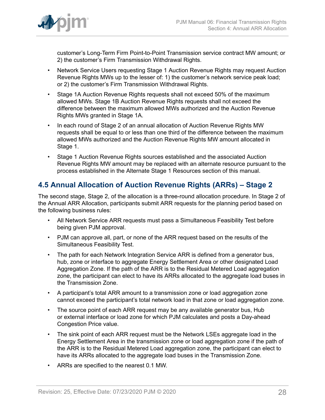

customer's Long-Term Firm Point-to-Point Transmission service contract MW amount; or 2) the customer's Firm Transmission Withdrawal Rights.

- Network Service Users requesting Stage 1 Auction Revenue Rights may request Auction Revenue Rights MWs up to the lesser of: 1) the customer's network service peak load; or 2) the customer's Firm Transmission Withdrawal Rights.
- Stage 1A Auction Revenue Rights requests shall not exceed 50% of the maximum allowed MWs. Stage 1B Auction Revenue Rights requests shall not exceed the difference between the maximum allowed MWs authorized and the Auction Revenue Rights MWs granted in Stage 1A.
- In each round of Stage 2 of an annual allocation of Auction Revenue Rights MW requests shall be equal to or less than one third of the difference between the maximum allowed MWs authorized and the Auction Revenue Rights MW amount allocated in Stage 1.
- Stage 1 Auction Revenue Rights sources established and the associated Auction Revenue Rights MW amount may be replaced with an alternate resource pursuant to the process established in the Alternate Stage 1 Resources section of this manual.

## <span id="page-27-0"></span>**4.5 Annual Allocation of Auction Revenue Rights (ARRs) – Stage 2**

The second stage, Stage 2, of the allocation is a three-round allocation procedure. In Stage 2 of the Annual ARR Allocation, participants submit ARR requests for the planning period based on the following business rules:

- All Network Service ARR requests must pass a Simultaneous Feasibility Test before being given PJM approval.
- PJM can approve all, part, or none of the ARR request based on the results of the Simultaneous Feasibility Test.
- The path for each Network Integration Service ARR is defined from a generator bus, hub, zone or interface to aggregate Energy Settlement Area or other designated Load Aggregation Zone. If the path of the ARR is to the Residual Metered Load aggregation zone, the participant can elect to have its ARRs allocated to the aggregate load buses in the Transmission Zone.
- A participant's total ARR amount to a transmission zone or load aggregation zone cannot exceed the participant's total network load in that zone or load aggregation zone.
- The source point of each ARR request may be any available generator bus, Hub or external interface or load zone for which PJM calculates and posts a Day-ahead Congestion Price value.
- The sink point of each ARR request must be the Network LSEs aggregate load in the Energy Settlement Area in the transmission zone or load aggregation zone if the path of the ARR is to the Residual Metered Load aggregation zone, the participant can elect to have its ARRs allocated to the aggregate load buses in the Transmission Zone.
- ARRs are specified to the nearest 0.1 MW.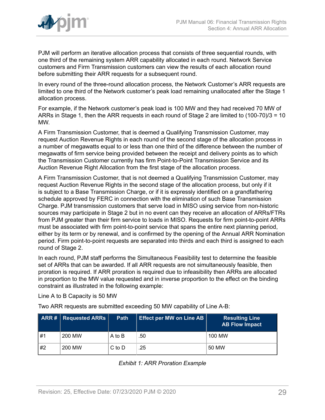

PJM will perform an iterative allocation process that consists of three sequential rounds, with one third of the remaining system ARR capability allocated in each round. Network Service customers and Firm Transmission customers can view the results of each allocation round before submitting their ARR requests for a subsequent round.

In every round of the three-round allocation process, the Network Customer's ARR requests are limited to one third of the Network customer's peak load remaining unallocated after the Stage 1 allocation process.

For example, if the Network customer's peak load is 100 MW and they had received 70 MW of ARRs in Stage 1, then the ARR requests in each round of Stage 2 are limited to (100-70)/3 = 10 MW.

A Firm Transmission Customer, that is deemed a Qualifying Transmission Customer, may request Auction Revenue Rights in each round of the second stage of the allocation process in a number of megawatts equal to or less than one third of the difference between the number of megawatts of firm service being provided between the receipt and delivery points as to which the Transmission Customer currently has firm Point-to-Point Transmission Service and its Auction Revenue Right Allocation from the first stage of the allocation process.

A Firm Transmission Customer, that is not deemed a Qualifying Transmission Customer, may request Auction Revenue Rights in the second stage of the allocation process, but only if it is subject to a Base Transmission Charge, or if it is expressly identified on a grandfathering schedule approved by FERC in connection with the elimination of such Base Transmission Charge. PJM transmission customers that serve load in MISO using service from non-historic sources may participate in Stage 2 but in no event can they receive an allocation of ARRs/FTRs from PJM greater than their firm service to loads in MISO. Requests for firm point-to-point ARRs must be associated with firm point-to-point service that spans the entire next planning period, either by its term or by renewal, and is confirmed by the opening of the Annual ARR Nomination period. Firm point-to-point requests are separated into thirds and each third is assigned to each round of Stage 2.

In each round, PJM staff performs the Simultaneous Feasibility test to determine the feasible set of ARRs that can be awarded. If all ARR requests are not simultaneously feasible, then proration is required. If ARR proration is required due to infeasibility then ARRs are allocated in proportion to the MW value requested and in inverse proportion to the effect on the binding constraint as illustrated in the following example:

Line A to B Capacity is 50 MW

Two ARR requests are submitted exceeding 50 MW capability of Line A-B:

<span id="page-28-0"></span>

|    | $\mid$ ARR # $\mid$ Requested ARRs $\mid$ | <b>Path</b> | <b>Effect per MW on Line AB</b> | <b>Resulting Line</b><br><b>AB Flow Impact</b> |
|----|-------------------------------------------|-------------|---------------------------------|------------------------------------------------|
| #1 | 200 MW                                    | A to B      | .50                             | 100 MW                                         |
| #2 | 200 MW                                    | $C$ to $D$  | .25                             | 50 MW                                          |

*Exhibit 1: ARR Proration Example*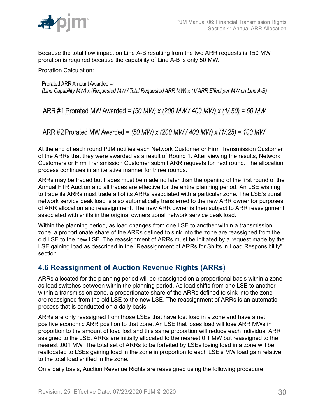

Because the total flow impact on Line A-B resulting from the two ARR requests is 150 MW, proration is required because the capability of Line A-B is only 50 MW.

Proration Calculation:

Prorated ARR Amount Awarded = (Line Capability MW) x (Requested MW/Total Requested ARR MW) x (1/ARR Effect per MW on Line A-B)

ARR #1 Prorated MW Awarded = (50 MW) x (200 MW / 400 MW) x (1/.50) = 50 MW

ARR #2 Prorated MW Awarded = (50 MW) x (200 MW / 400 MW) x (1/.25) = 100 MW

At the end of each round PJM notifies each Network Customer or Firm Transmission Customer of the ARRs that they were awarded as a result of Round 1. After viewing the results, Network Customers or Firm Transmission Customer submit ARR requests for next round. The allocation process continues in an iterative manner for three rounds.

ARRs may be traded but trades must be made no later than the opening of the first round of the Annual FTR Auction and all trades are effective for the entire planning period. An LSE wishing to trade its ARRs must trade all of its ARRs associated with a particular zone. The LSE's zonal network service peak load is also automatically transferred to the new ARR owner for purposes of ARR allocation and reassignment. The new ARR owner is then subject to ARR reassignment associated with shifts in the original owners zonal network service peak load.

Within the planning period, as load changes from one LSE to another within a transmission zone, a proportionate share of the ARRs defined to sink into the zone are reassigned from the old LSE to the new LSE. The reassignment of ARRs must be initiated by a request made by the LSE gaining load as described in the "Reassignment of ARRs for Shifts in Load Responsibility" section.

## <span id="page-29-0"></span>**4.6 Reassignment of Auction Revenue Rights (ARRs)**

ARRs allocated for the planning period will be reassigned on a proportional basis within a zone as load switches between within the planning period. As load shifts from one LSE to another within a transmission zone, a proportionate share of the ARRs defined to sink into the zone are reassigned from the old LSE to the new LSE. The reassignment of ARRs is an automatic process that is conducted on a daily basis.

ARRs are only reassigned from those LSEs that have lost load in a zone and have a net positive economic ARR position to that zone. An LSE that loses load will lose ARR MWs in proportion to the amount of load lost and this same proportion will reduce each individual ARR assigned to the LSE. ARRs are initially allocated to the nearest 0.1 MW but reassigned to the nearest .001 MW. The total set of ARRs to be forfeited by LSEs losing load in a zone will be reallocated to LSEs gaining load in the zone in proportion to each LSE's MW load gain relative to the total load shifted in the zone.

On a daily basis, Auction Revenue Rights are reassigned using the following procedure: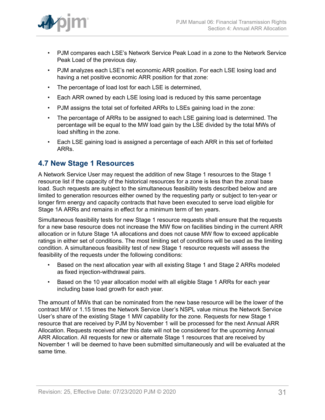- PJM compares each LSE's Network Service Peak Load in a zone to the Network Service Peak Load of the previous day.
- PJM analyzes each LSE's net economic ARR position. For each LSE losing load and having a net positive economic ARR position for that zone:
- The percentage of load lost for each LSE is determined,
- Each ARR owned by each LSE losing load is reduced by this same percentage
- PJM assigns the total set of forfeited ARRs to LSEs gaining load in the zone:
- The percentage of ARRs to be assigned to each LSE gaining load is determined. The percentage will be equal to the MW load gain by the LSE divided by the total MWs of load shifting in the zone.
- Each LSE gaining load is assigned a percentage of each ARR in this set of forfeited ARRs.

## <span id="page-30-0"></span>**4.7 New Stage 1 Resources**

A Network Service User may request the addition of new Stage 1 resources to the Stage 1 resource list if the capacity of the historical resources for a zone is less than the zonal base load. Such requests are subject to the simultaneous feasibility tests described below and are limited to generation resources either owned by the requesting party or subject to ten-year or longer firm energy and capacity contracts that have been executed to serve load eligible for Stage 1A ARRs and remains in effect for a minimum term of ten years.

Simultaneous feasibility tests for new Stage 1 resource requests shall ensure that the requests for a new base resource does not increase the MW flow on facilities binding in the current ARR allocation or in future Stage 1A allocations and does not cause MW flow to exceed applicable ratings in either set of conditions. The most limiting set of conditions will be used as the limiting condition. A simultaneous feasibility test of new Stage 1 resource requests will assess the feasibility of the requests under the following conditions:

- Based on the next allocation year with all existing Stage 1 and Stage 2 ARRs modeled as fixed injection-withdrawal pairs.
- Based on the 10 year allocation model with all eligible Stage 1 ARRs for each year including base load growth for each year.

The amount of MWs that can be nominated from the new base resource will be the lower of the contract MW or 1.15 times the Network Service User's NSPL value minus the Network Service User's share of the existing Stage 1 MW capability for the zone. Requests for new Stage 1 resource that are received by PJM by November 1 will be processed for the next Annual ARR Allocation. Requests received after this date will not be considered for the upcoming Annual ARR Allocation. All requests for new or alternate Stage 1 resources that are received by November 1 will be deemed to have been submitted simultaneously and will be evaluated at the same time.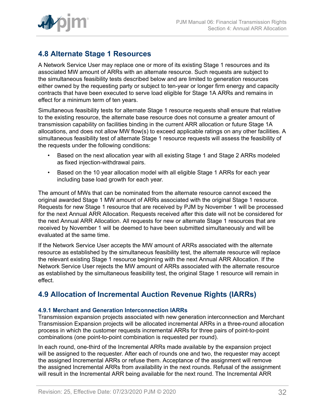## <span id="page-31-0"></span>**4.8 Alternate Stage 1 Resources**

A Network Service User may replace one or more of its existing Stage 1 resources and its associated MW amount of ARRs with an alternate resource. Such requests are subject to the simultaneous feasibility tests described below and are limited to generation resources either owned by the requesting party or subject to ten-year or longer firm energy and capacity contracts that have been executed to serve load eligible for Stage 1A ARRs and remains in effect for a minimum term of ten years.

Simultaneous feasibility tests for alternate Stage 1 resource requests shall ensure that relative to the existing resource, the alternate base resource does not consume a greater amount of transmission capability on facilities binding in the current ARR allocation or future Stage 1A allocations, and does not allow MW flow(s) to exceed applicable ratings on any other facilities. A simultaneous feasibility test of alternate Stage 1 resource requests will assess the feasibility of the requests under the following conditions:

- Based on the next allocation year with all existing Stage 1 and Stage 2 ARRs modeled as fixed injection-withdrawal pairs.
- Based on the 10 year allocation model with all eligible Stage 1 ARRs for each year including base load growth for each year.

The amount of MWs that can be nominated from the alternate resource cannot exceed the original awarded Stage 1 MW amount of ARRs associated with the original Stage 1 resource. Requests for new Stage 1 resource that are received by PJM by November 1 will be processed for the next Annual ARR Allocation. Requests received after this date will not be considered for the next Annual ARR Allocation. All requests for new or alternate Stage 1 resources that are received by November 1 will be deemed to have been submitted simultaneously and will be evaluated at the same time.

If the Network Service User accepts the MW amount of ARRs associated with the alternate resource as established by the simultaneous feasibility test, the alternate resource will replace the relevant existing Stage 1 resource beginning with the next Annual ARR Allocation. If the Network Service User rejects the MW amount of ARRs associated with the alternate resource as established by the simultaneous feasibility test, the original Stage 1 resource will remain in effect.

## <span id="page-31-1"></span>**4.9 Allocation of Incremental Auction Revenue Rights (IARRs)**

### <span id="page-31-2"></span>**4.9.1 Merchant and Generation Interconnection IARRs**

Transmission expansion projects associated with new generation interconnection and Merchant Transmission Expansion projects will be allocated incremental ARRs in a three-round allocation process in which the customer requests incremental ARRs for three pairs of point-to-point combinations (one point-to-point combination is requested per round).

In each round, one-third of the Incremental ARRs made available by the expansion project will be assigned to the requester. After each of rounds one and two, the requester may accept the assigned Incremental ARRs or refuse them. Acceptance of the assignment will remove the assigned Incremental ARRs from availability in the next rounds. Refusal of the assignment will result in the Incremental ARR being available for the next round. The Incremental ARR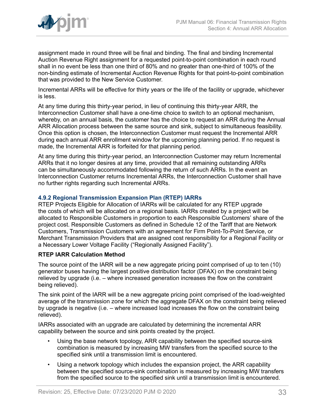

assignment made in round three will be final and binding. The final and binding Incremental Auction Revenue Right assignment for a requested point-to-point combination in each round shall in no event be less than one third of 80% and no greater than one-third of 100% of the non-binding estimate of Incremental Auction Revenue Rights for that point-to-point combination that was provided to the New Service Customer.

Incremental ARRs will be effective for thirty years or the life of the facility or upgrade, whichever is less.

At any time during this thirty-year period, in lieu of continuing this thirty-year ARR, the Interconnection Customer shall have a one-time choice to switch to an optional mechanism, whereby, on an annual basis, the customer has the choice to request an ARR during the Annual ARR Allocation process between the same source and sink, subject to simultaneous feasibility. Once this option is chosen, the Interconnection Customer must request the Incremental ARR during each annual ARR enrollment window for the upcoming planning period. If no request is made, the Incremental ARR is forfeited for that planning period.

At any time during this thirty-year period, an Interconnection Customer may return Incremental ARRs that it no longer desires at any time, provided that all remaining outstanding ARRs can be simultaneously accommodated following the return of such ARRs. In the event an Interconnection Customer returns Incremental ARRs, the Interconnection Customer shall have no further rights regarding such Incremental ARRs.

### <span id="page-32-0"></span>**4.9.2 Regional Transmission Expansion Plan (RTEP) IARRs**

RTEP Projects Eligible for Allocation of IARRs will be calculated for any RTEP upgrade the costs of which will be allocated on a regional basis. IARRs created by a project will be allocated to Responsible Customers in proportion to each Responsible Customers' share of the project cost. Responsible Customers as defined in Schedule 12 of the Tariff that are Network Customers, Transmission Customers with an agreement for Firm Point-To-Point Service, or Merchant Transmission Providers that are assigned cost responsibility for a Regional Facility or a Necessary Lower Voltage Facility ("Regionally Assigned Facility").

### **RTEP IARR Calculation Method**

The source point of the IARR will be a new aggregate pricing point comprised of up to ten (10) generator buses having the largest positive distribution factor (DFAX) on the constraint being relieved by upgrade (i.e. – where increased generation increases the flow on the constraint being relieved).

The sink point of the IARR will be a new aggregate pricing point comprised of the load-weighted average of the transmission zone for which the aggregate DFAX on the constraint being relieved by upgrade is negative (i.e. – where increased load increases the flow on the constraint being relieved).

IARRs associated with an upgrade are calculated by determining the incremental ARR capability between the source and sink points created by the project.

- Using the base network topology, ARR capability between the specified source-sink combination is measured by increasing MW transfers from the specified source to the specified sink until a transmission limit is encountered.
- Using a network topology which includes the expansion project, the ARR capability between the specified source-sink combination is measured by increasing MW transfers from the specified source to the specified sink until a transmission limit is encountered.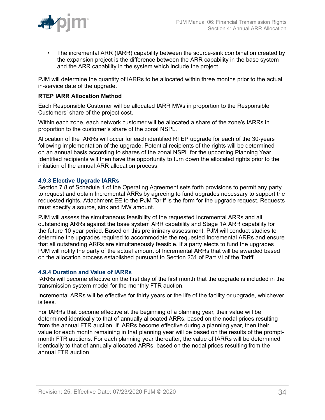

• The incremental ARR (IARR) capability between the source-sink combination created by the expansion project is the difference between the ARR capability in the base system and the ARR capability in the system which include the project

PJM will determine the quantity of IARRs to be allocated within three months prior to the actual in-service date of the upgrade.

#### **RTEP IARR Allocation Method**

Each Responsible Customer will be allocated IARR MWs in proportion to the Responsible Customers' share of the project cost.

Within each zone, each network customer will be allocated a share of the zone's IARRs in proportion to the customer's share of the zonal NSPL.

Allocation of the IARRs will occur for each identified RTEP upgrade for each of the 30-years following implementation of the upgrade. Potential recipients of the rights will be determined on an annual basis according to shares of the zonal NSPL for the upcoming Planning Year. Identified recipients will then have the opportunity to turn down the allocated rights prior to the initiation of the annual ARR allocation process.

#### <span id="page-33-0"></span>**4.9.3 Elective Upgrade IARRs**

Section 7.8 of Schedule 1 of the Operating Agreement sets forth provisions to permit any party to request and obtain Incremental ARRs by agreeing to fund upgrades necessary to support the requested rights. Attachment EE to the PJM Tariff is the form for the upgrade request. Requests must specify a source, sink and MW amount.

PJM will assess the simultaneous feasibility of the requested Incremental ARRs and all outstanding ARRs against the base system ARR capability and Stage 1A ARR capability for the future 10 year period. Based on this preliminary assessment, PJM will conduct studies to determine the upgrades required to accommodate the requested Incremental ARRs and ensure that all outstanding ARRs are simultaneously feasible. If a party elects to fund the upgrades PJM will notify the party of the actual amount of Incremental ARRs that will be awarded based on the allocation process established pursuant to Section 231 of Part VI of the Tariff.

#### <span id="page-33-1"></span>**4.9.4 Duration and Value of IARRs**

IARRs will become effective on the first day of the first month that the upgrade is included in the transmission system model for the monthly FTR auction.

Incremental ARRs will be effective for thirty years or the life of the facility or upgrade, whichever is less.

For IARRs that become effective at the beginning of a planning year, their value will be determined identically to that of annually allocated ARRs, based on the nodal prices resulting from the annual FTR auction. If IARRs become effective during a planning year, then their value for each month remaining in that planning year will be based on the results of the promptmonth FTR auctions. For each planning year thereafter, the value of IARRs will be determined identically to that of annually allocated ARRs, based on the nodal prices resulting from the annual FTR auction.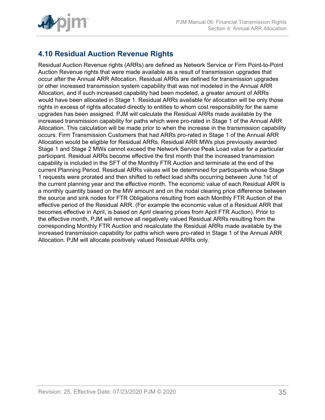

## <span id="page-34-0"></span>**4.10 Residual Auction Revenue Rights**

Residual Auction Revenue rights (ARRs) are defined as Network Service or Firm Point-to-Point Auction Revenue rights that were made available as a result of transmission upgrades that occur after the Annual ARR Allocation. Residual ARRs are defined for transmission upgrades or other increased transmission system capability that was not modeled in the Annual ARR Allocation, and if such increased capability had been modeled, a greater amount of ARRs would have been allocated in Stage 1. Residual ARRs available for allocation will be only those rights in excess of rights allocated directly to entities to whom cost responsibility for the same upgrades has been assigned. PJM will calculate the Residual ARRs made available by the increased transmission capability for paths which were pro-rated in Stage 1 of the Annual ARR Allocation. This calculation will be made prior to when the increase in the transmission capability occurs. Firm Transmission Customers that had ARRs pro-rated in Stage 1 of the Annual ARR Allocation would be eligible for Residual ARRs. Residual ARR MWs plus previously awarded Stage 1 and Stage 2 MWs cannot exceed the Network Service Peak Load value for a particular participant. Residual ARRs become effective the first month that the increased transmission capability is included in the SFT of the Monthly FTR Auction and terminate at the end of the current Planning Period. Residual ARRs values will be determined for participants whose Stage 1 requests were prorated and then shifted to reflect load shifts occurring between June 1st of the current planning year and the effective month. The economic value of each Residual ARR is a monthly quantity based on the MW amount and on the nodal clearing price difference between the source and sink nodes for FTR Obligations resulting from each Monthly FTR Auction of the effective period of the Residual ARR. (For example the economic value of a Residual ARR that becomes effective in April, is based on April clearing prices from April FTR Auction). Prior to the effective month, PJM will remove all negatively valued Residual ARRs resulting from the corresponding Monthly FTR Auction and recalculate the Residual ARRs made available by the increased transmission capability for paths which were pro-rated in Stage 1 of the Annual ARR Allocation. PJM will allocate positively valued Residual ARRs only.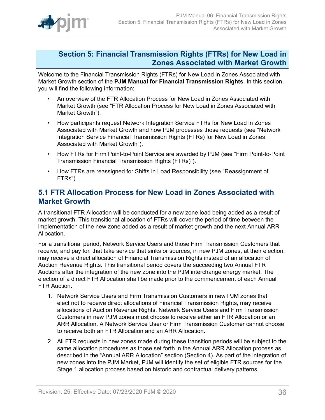

### <span id="page-35-0"></span>**Section 5: Financial Transmission Rights (FTRs) for New Load in Zones Associated with Market Growth**

Welcome to the Financial Transmission Rights (FTRs) for New Load in Zones Associated with Market Growth section of the **PJM Manual for Financial Transmission Rights**. In this section, you will find the following information:

- An overview of the FTR Allocation Process for New Load in Zones Associated with Market Growth (see "FTR Allocation Process for New Load in Zones Associated with Market Growth").
- How participants request Network Integration Service FTRs for New Load in Zones Associated with Market Growth and how PJM processes those requests (see "Network Integration Service Financial Transmission Rights (FTRs) for New Load in Zones Associated with Market Growth").
- How FTRs for Firm Point-to-Point Service are awarded by PJM (see "Firm Point-to-Point Transmission Financial Transmission Rights (FTRs)").
- How FTRs are reassigned for Shifts in Load Responsibility (see "Reassignment of FTRs")

### <span id="page-35-1"></span>**5.1 FTR Allocation Process for New Load in Zones Associated with Market Growth**

A transitional FTR Allocation will be conducted for a new zone load being added as a result of market growth. This transitional allocation of FTRs will cover the period of time between the implementation of the new zone added as a result of market growth and the next Annual ARR Allocation.

For a transitional period, Network Service Users and those Firm Transmission Customers that receive, and pay for, that take service that sinks or sources, in new PJM zones, at their election, may receive a direct allocation of Financial Transmission Rights instead of an allocation of Auction Revenue Rights. This transitional period covers the succeeding two Annual FTR Auctions after the integration of the new zone into the PJM interchange energy market. The election of a direct FTR Allocation shall be made prior to the commencement of each Annual FTR Auction.

- 1. Network Service Users and Firm Transmission Customers in new PJM zones that elect not to receive direct allocations of Financial Transmission Rights, may receive allocations of Auction Revenue Rights. Network Service Users and Firm Transmission Customers in new PJM zones must choose to receive either an FTR Allocation or an ARR Allocation. A Network Service User or Firm Transmission Customer cannot choose to receive both an FTR Allocation and an ARR Allocation.
- 2. All FTR requests in new zones made during these transition periods will be subject to the same allocation procedures as those set forth in the Annual ARR Allocation process as described in the "Annual ARR Allocation" section (Section 4). As part of the integration of new zones into the PJM Market, PJM will identify the set of eligible FTR sources for the Stage 1 allocation process based on historic and contractual delivery patterns.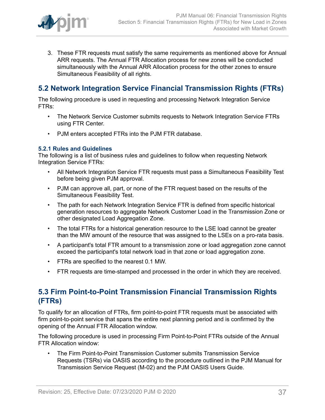

3. These FTR requests must satisfy the same requirements as mentioned above for Annual ARR requests. The Annual FTR Allocation process for new zones will be conducted simultaneously with the Annual ARR Allocation process for the other zones to ensure Simultaneous Feasibility of all rights.

## <span id="page-36-0"></span>**5.2 Network Integration Service Financial Transmission Rights (FTRs)**

The following procedure is used in requesting and processing Network Integration Service FTRs:

- The Network Service Customer submits requests to Network Integration Service FTRs using FTR Center.
- PJM enters accepted FTRs into the PJM FTR database.

### <span id="page-36-1"></span>**5.2.1 Rules and Guidelines**

The following is a list of business rules and guidelines to follow when requesting Network Integration Service FTRs:

- All Network Integration Service FTR requests must pass a Simultaneous Feasibility Test before being given PJM approval.
- PJM can approve all, part, or none of the FTR request based on the results of the Simultaneous Feasibility Test.
- The path for each Network Integration Service FTR is defined from specific historical generation resources to aggregate Network Customer Load in the Transmission Zone or other designated Load Aggregation Zone.
- The total FTRs for a historical generation resource to the LSE load cannot be greater than the MW amount of the resource that was assigned to the LSEs on a pro-rata basis.
- A participant's total FTR amount to a transmission zone or load aggregation zone cannot exceed the participant's total network load in that zone or load aggregation zone.
- FTRs are specified to the nearest 0.1 MW.
- FTR requests are time-stamped and processed in the order in which they are received.

### <span id="page-36-2"></span>**5.3 Firm Point-to-Point Transmission Financial Transmission Rights (FTRs)**

To qualify for an allocation of FTRs, firm point-to-point FTR requests must be associated with firm point-to-point service that spans the entire next planning period and is confirmed by the opening of the Annual FTR Allocation window.

The following procedure is used in processing Firm Point-to-Point FTRs outside of the Annual FTR Allocation window:

• The Firm Point-to-Point Transmission Customer submits Transmission Service Requests (TSRs) via OASIS according to the procedure outlined in the PJM Manual for Transmission Service Request (M-02) and the PJM OASIS Users Guide.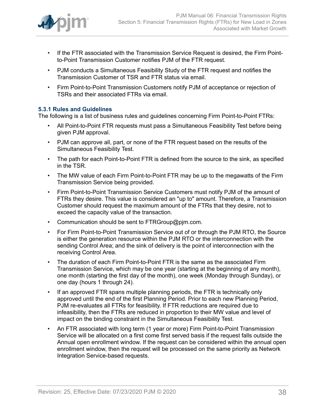

- If the FTR associated with the Transmission Service Request is desired, the Firm Pointto-Point Transmission Customer notifies PJM of the FTR request.
- PJM conducts a Simultaneous Feasibility Study of the FTR request and notifies the Transmission Customer of TSR and FTR status via email.
- Firm Point-to-Point Transmission Customers notify PJM of acceptance or rejection of TSRs and their associated FTRs via email.

### <span id="page-37-0"></span>**5.3.1 Rules and Guidelines**

The following is a list of business rules and guidelines concerning Firm Point-to-Point FTRs:

- All Point-to-Point FTR requests must pass a Simultaneous Feasibility Test before being given PJM approval.
- PJM can approve all, part, or none of the FTR request based on the results of the Simultaneous Feasibility Test.
- The path for each Point-to-Point FTR is defined from the source to the sink, as specified in the TSR.
- The MW value of each Firm Point-to-Point FTR may be up to the megawatts of the Firm Transmission Service being provided.
- Firm Point-to-Point Transmission Service Customers must notify PJM of the amount of FTRs they desire. This value is considered an "up to" amount. Therefore, a Transmission Customer should request the maximum amount of the FTRs that they desire, not to exceed the capacity value of the transaction.
- Communication should be sent to FTRGroup@pjm.com.
- For Firm Point-to-Point Transmission Service out of or through the PJM RTO, the Source is either the generation resource within the PJM RTO or the interconnection with the sending Control Area; and the sink of delivery is the point of interconnection with the receiving Control Area.
- The duration of each Firm Point-to-Point FTR is the same as the associated Firm Transmission Service, which may be one year (starting at the beginning of any month), one month (starting the first day of the month), one week (Monday through Sunday), or one day (hours 1 through 24).
- If an approved FTR spans multiple planning periods, the FTR is technically only approved until the end of the first Planning Period. Prior to each new Planning Period, PJM re-evaluates all FTRs for feasibility. If FTR reductions are required due to infeasibility, then the FTRs are reduced in proportion to their MW value and level of impact on the binding constraint in the Simultaneous Feasibility Test.
- An FTR associated with long term (1 year or more) Firm Point-to-Point Transmission Service will be allocated on a first come first served basis if the request falls outside the Annual open enrollment window. If the request can be considered within the annual open enrollment window, then the request will be processed on the same priority as Network Integration Service-based requests.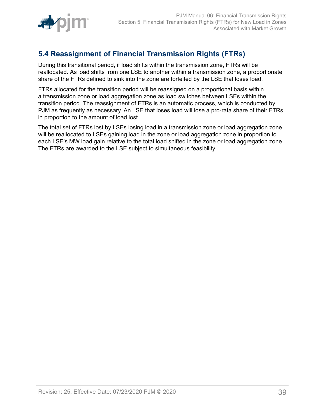

## <span id="page-38-0"></span>**5.4 Reassignment of Financial Transmission Rights (FTRs)**

During this transitional period, if load shifts within the transmission zone, FTRs will be reallocated. As load shifts from one LSE to another within a transmission zone, a proportionate share of the FTRs defined to sink into the zone are forfeited by the LSE that loses load.

FTRs allocated for the transition period will be reassigned on a proportional basis within a transmission zone or load aggregation zone as load switches between LSEs within the transition period. The reassignment of FTRs is an automatic process, which is conducted by PJM as frequently as necessary. An LSE that loses load will lose a pro-rata share of their FTRs in proportion to the amount of load lost.

The total set of FTRs lost by LSEs losing load in a transmission zone or load aggregation zone will be reallocated to LSEs gaining load in the zone or load aggregation zone in proportion to each LSE's MW load gain relative to the total load shifted in the zone or load aggregation zone. The FTRs are awarded to the LSE subject to simultaneous feasibility.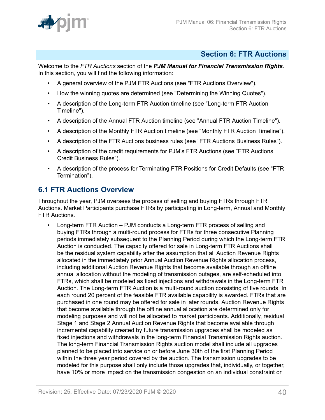

### <span id="page-39-0"></span>**Section 6: FTR Auctions**

Welcome to the *FTR Auctions* section of the *PJM Manual for Financial Transmission Rights*. In this section, you will find the following information:

- A general overview of the PJM FTR Auctions (see "FTR Auctions Overview").
- How the winning quotes are determined (see "Determining the Winning Quotes").
- A description of the Long-term FTR Auction timeline (see "Long-term FTR Auction Timeline").
- A description of the Annual FTR Auction timeline (see "Annual FTR Auction Timeline").
- A description of the Monthly FTR Auction timeline (see "Monthly FTR Auction Timeline").
- A description of the FTR Auctions business rules (see "FTR Auctions Business Rules").
- A description of the credit requirements for PJM's FTR Auctions (see "FTR Auctions Credit Business Rules").
- A description of the process for Terminating FTR Positions for Credit Defaults (see "FTR Termination").

### <span id="page-39-1"></span>**6.1 FTR Auctions Overview**

Throughout the year, PJM oversees the process of selling and buying FTRs through FTR Auctions. Market Participants purchase FTRs by participating in Long-term, Annual and Monthly FTR Auctions.

• Long-term FTR Auction – PJM conducts a Long-term FTR process of selling and buying FTRs through a multi-round process for FTRs for three consecutive Planning periods immediately subsequent to the Planning Period during which the Long-term FTR Auction is conducted. The capacity offered for sale in Long-term FTR Auctions shall be the residual system capability after the assumption that all Auction Revenue Rights allocated in the immediately prior Annual Auction Revenue Rights allocation process, including additional Auction Revenue Rights that become available through an offline annual allocation without the modeling of transmission outages, are self-scheduled into FTRs, which shall be modeled as fixed injections and withdrawals in the Long-term FTR Auction. The Long-term FTR Auction is a multi-round auction consisting of five rounds. In each round 20 percent of the feasible FTR available capability is awarded. FTRs that are purchased in one round may be offered for sale in later rounds. Auction Revenue Rights that become available through the offline annual allocation are determined only for modeling purposes and will not be allocated to market participants. Additionally, residual Stage 1 and Stage 2 Annual Auction Revenue Rights that become available through incremental capability created by future transmission upgrades shall be modeled as fixed injections and withdrawals in the long-term Financial Transmission Rights auction. The long-term Financial Transmission Rights auction model shall include all upgrades planned to be placed into service on or before June 30th of the first Planning Period within the three year period covered by the auction. The transmission upgrades to be modeled for this purpose shall only include those upgrades that, individually, or together, have 10% or more impact on the transmission congestion on an individual constraint or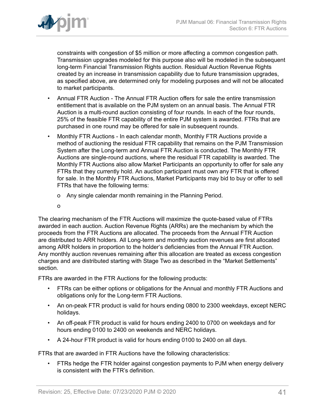

constraints with congestion of \$5 million or more affecting a common congestion path. Transmission upgrades modeled for this purpose also will be modeled in the subsequent long-term Financial Transmission Rights auction. Residual Auction Revenue Rights created by an increase in transmission capability due to future transmission upgrades, as specified above, are determined only for modeling purposes and will not be allocated to market participants.

- Annual FTR Auction The Annual FTR Auction offers for sale the entire transmission entitlement that is available on the PJM system on an annual basis. The Annual FTR Auction is a multi-round auction consisting of four rounds. In each of the four rounds, 25% of the feasible FTR capability of the entire PJM system is awarded. FTRs that are purchased in one round may be offered for sale in subsequent rounds.
- Monthly FTR Auctions In each calendar month, Monthly FTR Auctions provide a method of auctioning the residual FTR capability that remains on the PJM Transmission System after the Long-term and Annual FTR Auction is conducted. The Monthly FTR Auctions are single-round auctions, where the residual FTR capability is awarded. The Monthly FTR Auctions also allow Market Participants an opportunity to offer for sale any FTRs that they currently hold. An auction participant must own any FTR that is offered for sale. In the Monthly FTR Auctions, Market Participants may bid to buy or offer to sell FTRs that have the following terms:
	- o Any single calendar month remaining in the Planning Period.
	- o

The clearing mechanism of the FTR Auctions will maximize the quote-based value of FTRs awarded in each auction. Auction Revenue Rights (ARRs) are the mechanism by which the proceeds from the FTR Auctions are allocated. The proceeds from the Annual FTR Auction are distributed to ARR holders. All Long-term and monthly auction revenues are first allocated among ARR holders in proportion to the holder's deficiencies from the Annual FTR Auction. Any monthly auction revenues remaining after this allocation are treated as excess congestion charges and are distributed starting with Stage Two as described in the "Market Settlements" section.

FTRs are awarded in the FTR Auctions for the following products:

- FTRs can be either options or obligations for the Annual and monthly FTR Auctions and obligations only for the Long-term FTR Auctions.
- An on-peak FTR product is valid for hours ending 0800 to 2300 weekdays, except NERC holidays.
- An off-peak FTR product is valid for hours ending 2400 to 0700 on weekdays and for hours ending 0100 to 2400 on weekends and NERC holidays.
- A 24-hour FTR product is valid for hours ending 0100 to 2400 on all days.

FTRs that are awarded in FTR Auctions have the following characteristics:

• FTRs hedge the FTR holder against congestion payments to PJM when energy delivery is consistent with the FTR's definition.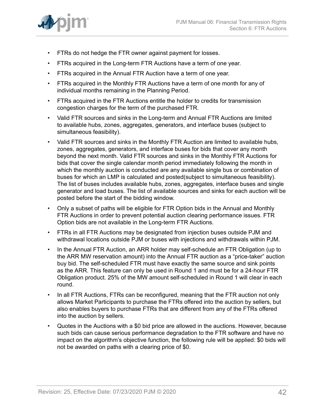

- FTRs do not hedge the FTR owner against payment for losses.
- FTRs acquired in the Long-term FTR Auctions have a term of one year.
- FTRs acquired in the Annual FTR Auction have a term of one year.
- FTRs acquired in the Monthly FTR Auctions have a term of one month for any of individual months remaining in the Planning Period.
- FTRs acquired in the FTR Auctions entitle the holder to credits for transmission congestion charges for the term of the purchased FTR.
- Valid FTR sources and sinks in the Long-term and Annual FTR Auctions are limited to available hubs, zones, aggregates, generators, and interface buses (subject to simultaneous feasibility).
- Valid FTR sources and sinks in the Monthly FTR Auction are limited to available hubs, zones, aggregates, generators, and interface buses for bids that cover any month beyond the next month. Valid FTR sources and sinks in the Monthly FTR Auctions for bids that cover the single calendar month period immediately following the month in which the monthly auction is conducted are any available single bus or combination of buses for which an LMP is calculated and posted(subject to simultaneous feasibility). The list of buses includes available hubs, zones, aggregates, interface buses and single generator and load buses. The list of available sources and sinks for each auction will be posted before the start of the bidding window.
- Only a subset of paths will be eligible for FTR Option bids in the Annual and Monthly FTR Auctions in order to prevent potential auction clearing performance issues. FTR Option bids are not available in the Long-term FTR Auctions.
- FTRs in all FTR Auctions may be designated from injection buses outside PJM and withdrawal locations outside PJM or buses with injections and withdrawals within PJM.
- In the Annual FTR Auction, an ARR holder may self-schedule an FTR Obligation (up to the ARR MW reservation amount) into the Annual FTR auction as a "price-taker" auction buy bid. The self-scheduled FTR must have exactly the same source and sink points as the ARR. This feature can only be used in Round 1 and must be for a 24-hour FTR Obligation product. 25% of the MW amount self-scheduled in Round 1 will clear in each round.
- In all FTR Auctions, FTRs can be reconfigured, meaning that the FTR auction not only allows Market Participants to purchase the FTRs offered into the auction by sellers, but also enables buyers to purchase FTRs that are different from any of the FTRs offered into the auction by sellers.
- Quotes in the Auctions with a \$0 bid price are allowed in the auctions. However, because such bids can cause serious performance degradation to the FTR software and have no impact on the algorithm's objective function, the following rule will be applied: \$0 bids will not be awarded on paths with a clearing price of \$0.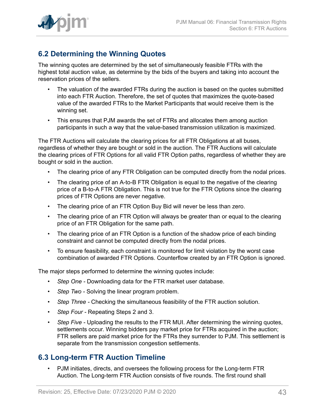

## <span id="page-42-0"></span>**6.2 Determining the Winning Quotes**

The winning quotes are determined by the set of simultaneously feasible FTRs with the highest total auction value, as determine by the bids of the buyers and taking into account the reservation prices of the sellers.

- The valuation of the awarded FTRs during the auction is based on the quotes submitted into each FTR Auction. Therefore, the set of quotes that maximizes the quote-based value of the awarded FTRs to the Market Participants that would receive them is the winning set.
- This ensures that PJM awards the set of FTRs and allocates them among auction participants in such a way that the value-based transmission utilization is maximized.

The FTR Auctions will calculate the clearing prices for all FTR Obligations at all buses, regardless of whether they are bought or sold in the auction. The FTR Auctions will calculate the clearing prices of FTR Options for all valid FTR Option paths, regardless of whether they are bought or sold in the auction.

- The clearing price of any FTR Obligation can be computed directly from the nodal prices.
- The clearing price of an A-to-B FTR Obligation is equal to the negative of the clearing price of a B-to-A FTR Obligation. This is not true for the FTR Options since the clearing prices of FTR Options are never negative.
- The clearing price of an FTR Option Buy Bid will never be less than zero.
- The clearing price of an FTR Option will always be greater than or equal to the clearing price of an FTR Obligation for the same path.
- The clearing price of an FTR Option is a function of the shadow price of each binding constraint and cannot be computed directly from the nodal prices.
- To ensure feasibility, each constraint is monitored for limit violation by the worst case combination of awarded FTR Options. Counterflow created by an FTR Option is ignored.

The major steps performed to determine the winning quotes include:

- *Step One* Downloading data for the FTR market user database.
- *Step Two -* Solving the linear program problem.
- *Step Three* Checking the simultaneous feasibility of the FTR auction solution.
- *Step Four* Repeating Steps 2 and 3.
- *Step Five* Uploading the results to the FTR MUI. After determining the winning quotes, settlements occur. Winning bidders pay market price for FTRs acquired in the auction; FTR sellers are paid market price for the FTRs they surrender to PJM. This settlement is separate from the transmission congestion settlements.

### <span id="page-42-1"></span>**6.3 Long-term FTR Auction Timeline**

• PJM initiates, directs, and oversees the following process for the Long-term FTR Auction. The Long-term FTR Auction consists of five rounds. The first round shall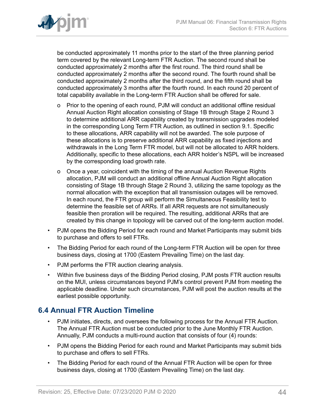

be conducted approximately 11 months prior to the start of the three planning period term covered by the relevant Long-term FTR Auction. The second round shall be conducted approximately 2 months after the first round. The third round shall be conducted approximately 2 months after the second round. The fourth round shall be conducted approximately 2 months after the third round, and the fifth round shall be conducted approximately 3 months after the fourth round. In each round 20 percent of total capability available in the Long-term FTR Auction shall be offered for sale.

- o Prior to the opening of each round, PJM will conduct an additional offline residual Annual Auction Right allocation consisting of Stage 1B through Stage 2 Round 3 to determine additional ARR capability created by transmission upgrades modeled in the corresponding Long Term FTR Auction, as outlined in section 9.1. Specific to these allocations, ARR capability will not be awarded. The sole purpose of these allocations is to preserve additional ARR capability as fixed injections and withdrawals in the Long Term FTR model, but will not be allocated to ARR holders. Additionally, specific to these allocations, each ARR holder's NSPL will be increased by the corresponding load growth rate.
- o Once a year, coincident with the timing of the annual Auction Revenue Rights allocation, PJM will conduct an additional offline Annual Auction Right allocation consisting of Stage 1B through Stage 2 Round 3, utilizing the same topology as the normal allocation with the exception that all transmission outages will be removed. In each round, the FTR group will perform the Simultaneous Feasibility test to determine the feasible set of ARRs. If all ARR requests are not simultaneously feasible then proration will be required. The resulting, additional ARRs that are created by this change in topology will be carved out of the long-term auction model.
- PJM opens the Bidding Period for each round and Market Participants may submit bids to purchase and offers to sell FTRs.
- The Bidding Period for each round of the Long-term FTR Auction will be open for three business days, closing at 1700 (Eastern Prevailing Time) on the last day.
- PJM performs the FTR auction clearing analysis.
- Within five business days of the Bidding Period closing, PJM posts FTR auction results on the MUI, unless circumstances beyond PJM's control prevent PJM from meeting the applicable deadline. Under such circumstances, PJM will post the auction results at the earliest possible opportunity.

## <span id="page-43-0"></span>**6.4 Annual FTR Auction Timeline**

- PJM initiates, directs, and oversees the following process for the Annual FTR Auction. The Annual FTR Auction must be conducted prior to the June Monthly FTR Auction. Annually, PJM conducts a multi-round auction that consists of four (4) rounds:
- PJM opens the Bidding Period for each round and Market Participants may submit bids to purchase and offers to sell FTRs.
- The Bidding Period for each round of the Annual FTR Auction will be open for three business days, closing at 1700 (Eastern Prevailing Time) on the last day.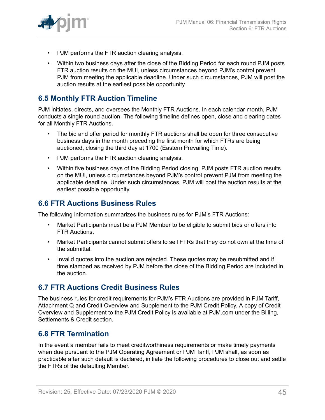

- PJM performs the FTR auction clearing analysis.
- Within two business days after the close of the Bidding Period for each round PJM posts FTR auction results on the MUI, unless circumstances beyond PJM's control prevent PJM from meeting the applicable deadline. Under such circumstances, PJM will post the auction results at the earliest possible opportunity

## <span id="page-44-0"></span>**6.5 Monthly FTR Auction Timeline**

PJM initiates, directs, and oversees the Monthly FTR Auctions. In each calendar month, PJM conducts a single round auction. The following timeline defines open, close and clearing dates for all Monthly FTR Auctions.

- The bid and offer period for monthly FTR auctions shall be open for three consecutive business days in the month preceding the first month for which FTRs are being auctioned, closing the third day at 1700 (Eastern Prevailing Time).
- PJM performs the FTR auction clearing analysis.
- Within five business days of the Bidding Period closing, PJM posts FTR auction results on the MUI, unless circumstances beyond PJM's control prevent PJM from meeting the applicable deadline. Under such circumstances, PJM will post the auction results at the earliest possible opportunity

### <span id="page-44-1"></span>**6.6 FTR Auctions Business Rules**

The following information summarizes the business rules for PJM's FTR Auctions:

- Market Participants must be a PJM Member to be eligible to submit bids or offers into FTR Auctions.
- Market Participants cannot submit offers to sell FTRs that they do not own at the time of the submittal.
- Invalid quotes into the auction are rejected. These quotes may be resubmitted and if time stamped as received by PJM before the close of the Bidding Period are included in the auction.

### <span id="page-44-2"></span>**6.7 FTR Auctions Credit Business Rules**

The business rules for credit requirements for PJM's FTR Auctions are provided in PJM Tariff, Attachment Q and Credit Overview and Supplement to the PJM Credit Policy. A copy of Credit Overview and Supplement to the PJM Credit Policy is available at PJM.com under the Billing, Settlements & Credit section.

### <span id="page-44-3"></span>**6.8 FTR Termination**

In the event a member fails to meet creditworthiness requirements or make timely payments when due pursuant to the PJM Operating Agreement or PJM Tariff, PJM shall, as soon as practicable after such default is declared, initiate the following procedures to close out and settle the FTRs of the defaulting Member.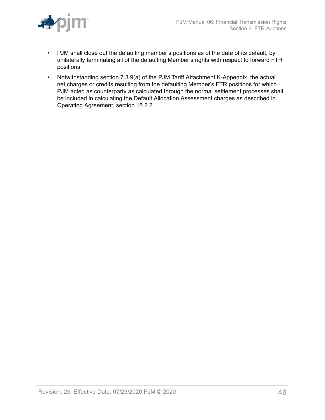

- PJM shall close out the defaulting member's positions as of the date of its default, by unilaterally terminating all of the defaulting Member's rights with respect to forward FTR positions.
- Notwithstanding section 7.3.9(a) of the PJM Tariff Attachment K-Appendix, the actual net charges or credits resulting from the defaulting Member's FTR positions for which PJM acted as counterparty as calculated through the normal settlement processes shall be included in calculating the Default Allocation Assessment charges as described in Operating Agreement, section 15.2.2.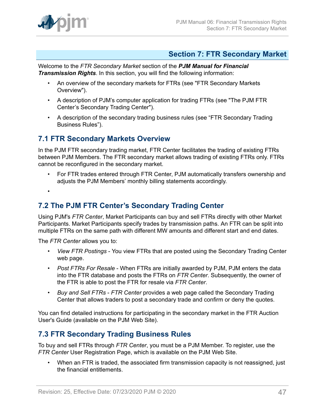

### <span id="page-46-0"></span>**Section 7: FTR Secondary Market**

Welcome to the *FTR Secondary Market* section of the *PJM Manual for Financial Transmission Rights*. In this section, you will find the following information:

- An overview of the secondary markets for FTRs (see "FTR Secondary Markets Overview").
- A description of PJM's computer application for trading FTRs (see "The PJM FTR Center's Secondary Trading Center").
- A description of the secondary trading business rules (see "FTR Secondary Trading Business Rules").

### <span id="page-46-1"></span>**7.1 FTR Secondary Markets Overview**

In the PJM FTR secondary trading market, FTR Center facilitates the trading of existing FTRs between PJM Members. The FTR secondary market allows trading of existing FTRs only. FTRs cannot be reconfigured in the secondary market.

• For FTR trades entered through FTR Center, PJM automatically transfers ownership and adjusts the PJM Members' monthly billing statements accordingly.

•

### <span id="page-46-2"></span>**7.2 The PJM FTR Center's Secondary Trading Center**

Using PJM's *FTR Center*, Market Participants can buy and sell FTRs directly with other Market Participants. Market Participants specify trades by transmission paths. An FTR can be split into multiple FTRs on the same path with different MW amounts and different start and end dates.

The *FTR Center* allows you to:

- *View FTR Postings* You view FTRs that are posted using the Secondary Trading Center web page.
- *Post FTRs For Resale* When FTRs are initially awarded by PJM, PJM enters the data into the FTR database and posts the FTRs on *FTR Center*. Subsequently, the owner of the FTR is able to post the FTR for resale via *FTR Center*.
- *Buy and Sell FTRs FTR Center* provides a web page called the Secondary Trading Center that allows traders to post a secondary trade and confirm or deny the quotes.

You can find detailed instructions for participating in the secondary market in the FTR Auction User's Guide (available on the PJM Web Site).

## <span id="page-46-3"></span>**7.3 FTR Secondary Trading Business Rules**

To buy and sell FTRs through *FTR Center*, you must be a PJM Member. To register, use the *FTR Center* User Registration Page, which is available on the PJM Web Site.

• When an FTR is traded, the associated firm transmission capacity is not reassigned, just the financial entitlements.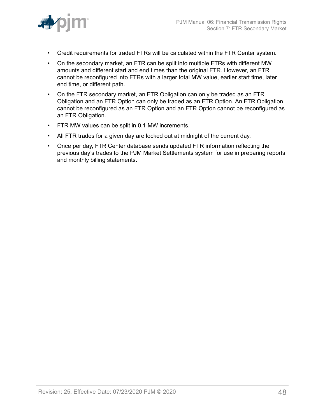

- Credit requirements for traded FTRs will be calculated within the FTR Center system.
- On the secondary market, an FTR can be split into multiple FTRs with different MW amounts and different start and end times than the original FTR. However, an FTR cannot be reconfigured into FTRs with a larger total MW value, earlier start time, later end time, or different path.
- On the FTR secondary market, an FTR Obligation can only be traded as an FTR Obligation and an FTR Option can only be traded as an FTR Option. An FTR Obligation cannot be reconfigured as an FTR Option and an FTR Option cannot be reconfigured as an FTR Obligation.
- FTR MW values can be split in 0.1 MW increments.
- All FTR trades for a given day are locked out at midnight of the current day.
- Once per day, FTR Center database sends updated FTR information reflecting the previous day's trades to the PJM Market Settlements system for use in preparing reports and monthly billing statements.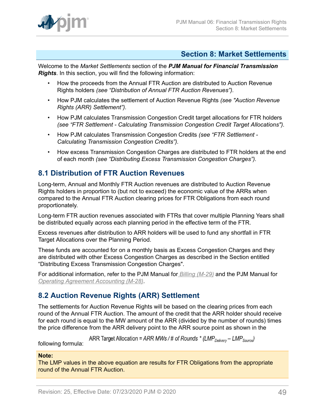

### <span id="page-48-0"></span>**Section 8: Market Settlements**

Welcome to the *Market Settlements* section of the *PJM Manual for Financial Transmission Rights*. In this section, you will find the following information:

- How the proceeds from the Annual FTR Auction are distributed to Auction Revenue Rights holders *(see "Distribution of Annual FTR Auction Revenues").*
- How PJM calculates the settlement of Auction Revenue Rights *(see "Auction Revenue Rights (ARR) Settlement").*
- How PJM calculates Transmission Congestion Credit target allocations for FTR holders *(see "FTR Settlement - Calculating Transmission Congestion Credit Target Allocations").*
- How PJM calculates Transmission Congestion Credits *(see "FTR Settlement - Calculating Transmission Congestion Credits").*
- How excess Transmission Congestion Charges are distributed to FTR holders at the end of each month *(see "Distributing Excess Transmission Congestion Charges").*

## <span id="page-48-1"></span>**8.1 Distribution of FTR Auction Revenues**

Long-term, Annual and Monthly FTR Auction revenues are distributed to Auction Revenue Rights holders in proportion to (but not to exceed) the economic value of the ARRs when compared to the Annual FTR Auction clearing prices for FTR Obligations from each round proportionately.

Long-term FTR auction revenues associated with FTRs that cover multiple Planning Years shall be distributed equally across each planning period in the effective term of the FTR.

Excess revenues after distribution to ARR holders will be used to fund any shortfall in FTR Target Allocations over the Planning Period.

These funds are accounted for on a monthly basis as Excess Congestion Charges and they are distributed with other Excess Congestion Charges as described in the Section entitled "Distributing Excess Transmission Congestion Charges".

For additional information, refer to the PJM Manual for *[Billing \(M-29\)](http://www.pjm.com/~/media/documents/manuals/m29.ashx)* and the PJM Manual for *[Operating Agreement Accounting \(M-28\)](http://www.pjm.com/~/media/documents/manuals/m28.ashx)*.

## <span id="page-48-2"></span>**8.2 Auction Revenue Rights (ARR) Settlement**

The settlements for Auction Revenue Rights will be based on the clearing prices from each round of the Annual FTR Auction. The amount of the credit that the ARR holder should receive for each round is equal to the MW amount of the ARR (divided by the number of rounds) times the price difference from the ARR delivery point to the ARR source point as shown in the

ARR Target Allocation = ARR MWs / # of Rounds \* (LMP<sub>Delivery</sub> – LMP<sub>Source</sub>)

following formula:

### **Note:**

The LMP values in the above equation are results for FTR Obligations from the appropriate round of the Annual FTR Auction.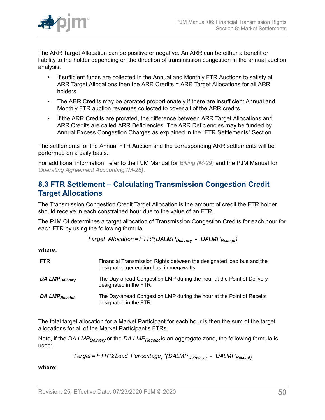

The ARR Target Allocation can be positive or negative. An ARR can be either a benefit or liability to the holder depending on the direction of transmission congestion in the annual auction analysis.

- If sufficient funds are collected in the Annual and Monthly FTR Auctions to satisfy all ARR Target Allocations then the ARR Credits = ARR Target Allocations for all ARR holders.
- The ARR Credits may be prorated proportionately if there are insufficient Annual and Monthly FTR auction revenues collected to cover all of the ARR credits.
- If the ARR Credits are prorated, the difference between ARR Target Allocations and ARR Credits are called ARR Deficiencies. The ARR Deficiencies may be funded by Annual Excess Congestion Charges as explained in the "FTR Settlements" Section.

The settlements for the Annual FTR Auction and the corresponding ARR settlements will be performed on a daily basis.

For additional information, refer to the PJM Manual for *[Billing \(M-29\)](http://www.pjm.com/~/media/documents/manuals/m29.ashx)* and the PJM Manual for *[Operating Agreement Accounting \(M-28\)](http://www.pjm.com/~/media/documents/manuals/m28.ashx)*.

## <span id="page-49-0"></span>**8.3 FTR Settlement – Calculating Transmission Congestion Credit Target Allocations**

The Transmission Congestion Credit Target Allocation is the amount of credit the FTR holder should receive in each constrained hour due to the value of an FTR.

The PJM OI determines a target allocation of Transmission Congestion Credits for each hour for each FTR by using the following formula:

Target Allocation=FTR\*(DALMP<sub>Deliverv</sub> - DALMP<sub>Receipt</sub>)

**where:**

| <b>FTR</b>                 | Financial Transmission Rights between the designated load bus and the<br>designated generation bus, in megawatts |
|----------------------------|------------------------------------------------------------------------------------------------------------------|
| DA LMP <sub>Delivery</sub> | The Day-ahead Congestion LMP during the hour at the Point of Delivery<br>designated in the FTR                   |
| DA LMP <sub>Receipt</sub>  | The Day-ahead Congestion LMP during the hour at the Point of Receipt<br>designated in the FTR                    |

The total target allocation for a Market Participant for each hour is then the sum of the target allocations for all of the Market Participant's FTRs.

Note, if the *DA LMPDelivery* or the *DA LMPReceipt* is an aggregate zone, the following formula is used:

Target=FTR\*ΣLoad Percentage<sub>;</sub> \*(DALMP<sub>Delivery-i</sub> - DALMP<sub>Receipt)</sub>

**where**: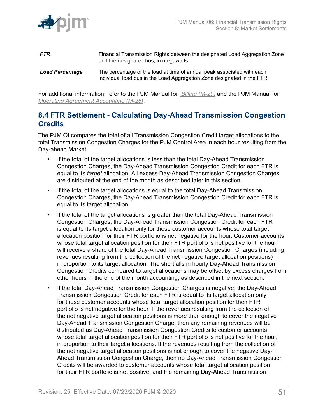

- **FTR** Financial Transmission Rights between the designated Load Aggregation Zone and the designated bus, in megawatts *Load Percentage* The percentage of the load at time of annual peak associated with each
	- individual load bus in the Load Aggregation Zone designated in the FTR

For additional information, refer to the PJM Manual for *[Billing \(M-29\)](http://www.pjm.com/~/media/documents/manuals/m29.ashx)* and the PJM Manual for *[Operating Agreement Accounting \(M-28\)](http://www.pjm.com/~/media/documents/manuals/m28.ashx)*.

### <span id="page-50-0"></span>**8.4 FTR Settlement - Calculating Day-Ahead Transmission Congestion Credits**

The PJM OI compares the total of all Transmission Congestion Credit target allocations to the total Transmission Congestion Charges for the PJM Control Area in each hour resulting from the Day-ahead Market.

- If the total of the target allocations is less than the total Day-Ahead Transmission Congestion Charges, the Day-Ahead Transmission Congestion Credit for each FTR is equal to its *target* allocation. All excess Day-Ahead Transmission Congestion Charges are distributed at the end of the month as described later in this section.
- If the total of the target allocations is equal to the total Day-Ahead Transmission Congestion Charges, the Day-Ahead Transmission Congestion Credit for each FTR is equal to its target allocation.
- If the total of the target allocations is greater than the total Day-Ahead Transmission Congestion Charges, the Day-Ahead Transmission Congestion Credit for each FTR is equal to its target allocation only for those customer accounts whose total target allocation position for their FTR portfolio is net negative for the hour. Customer accounts whose total target allocation position for their FTR portfolio is net positive for the hour will receive a share of the total Day-Ahead Transmission Congestion Charges (including revenues resulting from the collection of the net negative target allocation positions) in proportion to its target allocation. The shortfalls in hourly Day-Ahead Transmission Congestion Credits compared to target allocations may be offset by excess charges from other hours in the end of the month accounting, as described in the next section.
- If the total Day-Ahead Transmission Congestion Charges is negative, the Day-Ahead Transmission Congestion Credit for each FTR is equal to its target allocation only for those customer accounts whose total target allocation position for their FTR portfolio is net negative for the hour. If the revenues resulting from the collection of the net negative target allocation positions is more than enough to cover the negative Day-Ahead Transmission Congestion Charge, then any remaining revenues will be distributed as Day-Ahead Transmission Congestion Credits to customer accounts whose total target allocation position for their FTR portfolio is net positive for the hour, in proportion to their target allocations. If the revenues resulting from the collection of the net negative target allocation positions is not enough to cover the negative Day-Ahead Transmission Congestion Charge, then no Day-Ahead Transmission Congestion Credits will be awarded to customer accounts whose total target allocation position for their FTR portfolio is net positive, and the remaining Day-Ahead Transmission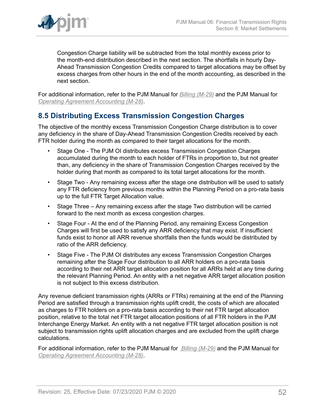

Congestion Charge liability will be subtracted from the total monthly excess prior to the month-end distribution described in the next section. The shortfalls in hourly Day-Ahead Transmission Congestion Credits compared to target allocations may be offset by excess charges from other hours in the end of the month accounting, as described in the next section.

For additional information, refer to the PJM Manual for *[Billing \(M-29\)](http://www.pjm.com/~/media/documents/manuals/m29.ashx)* and the PJM Manual for *[Operating Agreement Accounting \(M-28\)](http://www.pjm.com/~/media/documents/manuals/m28.ashx)*.

### <span id="page-51-0"></span>**8.5 Distributing Excess Transmission Congestion Charges**

The objective of the monthly excess Transmission Congestion Charge distribution is to cover any deficiency in the share of Day-Ahead Transmission Congestion Credits received by each FTR holder during the month as compared to their target allocations for the month.

- Stage One The PJM OI distributes excess Transmission Congestion Charges accumulated during the month to each holder of FTRs in proportion to, but not greater than, any deficiency in the share of Transmission Congestion Charges received by the holder during that month as compared to its total target allocations for the month.
- Stage Two Any remaining excess after the stage one distribution will be used to satisfy any FTR deficiency from previous months within the Planning Period on a pro-rata basis up to the full FTR Target Allocation value.
- Stage Three Any remaining excess after the stage Two distribution will be carried forward to the next month as excess congestion charges.
- Stage Four At the end of the Planning Period, any remaining Excess Congestion Charges will first be used to satisfy any ARR deficiency that may exist. If insufficient funds exist to honor all ARR revenue shortfalls then the funds would be distributed by ratio of the ARR deficiency.
- Stage Five The PJM OI distributes any excess Transmission Congestion Charges remaining after the Stage Four distribution to all ARR holders on a pro-rata basis according to their net ARR target allocation position for all ARRs held at any time during the relevant Planning Period. An entity with a net negative ARR target allocation position is not subject to this excess distribution.

Any revenue deficient transmission rights (ARRs or FTRs) remaining at the end of the Planning Period are satisfied through a transmission rights uplift credit, the costs of which are allocated as charges to FTR holders on a pro-rata basis according to their net FTR target allocation position, relative to the total net FTR target allocation positions of all FTR holders in the PJM Interchange Energy Market. An entity with a net negative FTR target allocation position is not subject to transmission rights uplift allocation charges and are excluded from the uplift charge calculations.

For additional information, refer to the PJM Manual for *[Billing \(M-29\)](http://www.pjm.com/~/media/documents/manuals/m29.ashx)* and the PJM Manual for *[Operating Agreement Accounting \(M-28\)](http://www.pjm.com/~/media/documents/manuals/m28.ashx)*.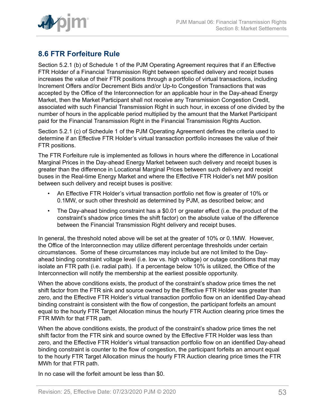

## <span id="page-52-0"></span>**8.6 FTR Forfeiture Rule**

Section 5.2.1 (b) of Schedule 1 of the PJM Operating Agreement requires that if an Effective FTR Holder of a Financial Transmission Right between specified delivery and receipt buses increases the value of their FTR positions through a portfolio of virtual transactions, including Increment Offers and/or Decrement Bids and/or Up-to Congestion Transactions that was accepted by the Office of the Interconnection for an applicable hour in the Day-ahead Energy Market, then the Market Participant shall not receive any Transmission Congestion Credit, associated with such Financial Transmission Right in such hour, in excess of one divided by the number of hours in the applicable period multiplied by the amount that the Market Participant paid for the Financial Transmission Right in the Financial Transmission Rights Auction.

Section 5.2.1 (c) of Schedule 1 of the PJM Operating Agreement defines the criteria used to determine if an Effective FTR Holder's virtual transaction portfolio increases the value of their FTR positions.

The FTR Forfeiture rule is implemented as follows in hours where the difference in Locational Marginal Prices in the Day-ahead Energy Market between such delivery and receipt buses is greater than the difference in Locational Marginal Prices between such delivery and receipt buses in the Real-time Energy Market and where the Effective FTR Holder's net MW position between such delivery and receipt buses is positive:

- An Effective FTR Holder's virtual transaction portfolio net flow is greater of 10% or 0.1MW, or such other threshold as determined by PJM, as described below; and
- The Day-ahead binding constraint has a \$0.01 or greater effect (i.e. the product of the constraint's shadow price times the shift factor) on the absolute value of the difference between the Financial Transmission Right delivery and receipt buses.

In general, the threshold noted above will be set at the greater of 10% or 0.1MW. However, the Office of the Interconnection may utilize different percentage thresholds under certain circumstances. Some of these circumstances may include but are not limited to the Dayahead binding constraint voltage level (i.e. low vs. high voltage) or outage conditions that may isolate an FTR path (i.e. radial path). If a percentage below 10% is utilized, the Office of the Interconnection will notify the membership at the earliest possible opportunity.

When the above conditions exists, the product of the constraint's shadow price times the net shift factor from the FTR sink and source owned by the Effective FTR Holder was greater than zero, and the Effective FTR Holder's virtual transaction portfolio flow on an identified Day-ahead binding constraint is consistent with the flow of congestion, the participant forfeits an amount equal to the hourly FTR Target Allocation minus the hourly FTR Auction clearing price times the FTR MWh for that FTR path.

When the above conditions exists, the product of the constraint's shadow price times the net shift factor from the FTR sink and source owned by the Effective FTR Holder was less than zero, and the Effective FTR Holder's virtual transaction portfolio flow on an identified Day-ahead binding constraint is counter to the flow of congestion, the participant forfeits an amount equal to the hourly FTR Target Allocation minus the hourly FTR Auction clearing price times the FTR MWh for that FTR path.

In no case will the forfeit amount be less than \$0.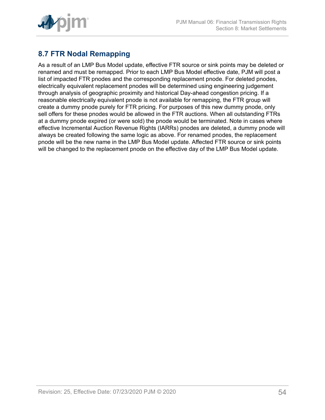

## <span id="page-53-0"></span>**8.7 FTR Nodal Remapping**

As a result of an LMP Bus Model update, effective FTR source or sink points may be deleted or renamed and must be remapped. Prior to each LMP Bus Model effective date, PJM will post a list of impacted FTR pnodes and the corresponding replacement pnode. For deleted pnodes, electrically equivalent replacement pnodes will be determined using engineering judgement through analysis of geographic proximity and historical Day-ahead congestion pricing. If a reasonable electrically equivalent pnode is not available for remapping, the FTR group will create a dummy pnode purely for FTR pricing. For purposes of this new dummy pnode, only sell offers for these pnodes would be allowed in the FTR auctions. When all outstanding FTRs at a dummy pnode expired (or were sold) the pnode would be terminated. Note in cases where effective Incremental Auction Revenue Rights (IARRs) pnodes are deleted, a dummy pnode will always be created following the same logic as above. For renamed pnodes, the replacement pnode will be the new name in the LMP Bus Model update. Affected FTR source or sink points will be changed to the replacement pnode on the effective day of the LMP Bus Model update.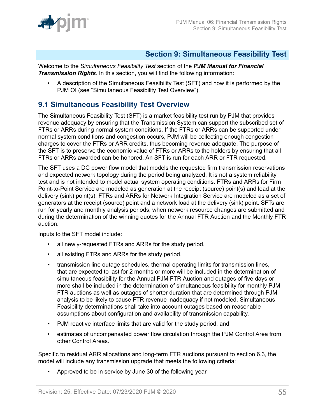

### <span id="page-54-0"></span>**Section 9: Simultaneous Feasibility Test**

Welcome to the *Simultaneous Feasibility Test* section of the *PJM Manual for Financial Transmission Rights*. In this section, you will find the following information:

• A description of the Simultaneous Feasibility Test (SFT) and how it is performed by the PJM OI (see "Simultaneous Feasibility Test Overview").

## <span id="page-54-1"></span>**9.1 Simultaneous Feasibility Test Overview**

The Simultaneous Feasibility Test (SFT) is a market feasibility test run by PJM that provides revenue adequacy by ensuring that the Transmission System can support the subscribed set of FTRs or ARRs during normal system conditions. If the FTRs or ARRs can be supported under normal system conditions and congestion occurs, PJM will be collecting enough congestion charges to cover the FTRs or ARR credits, thus becoming revenue adequate. The purpose of the SFT is to preserve the economic value of FTRs or ARRs to the holders by ensuring that all FTRs or ARRs awarded can be honored. An SFT is run for each ARR or FTR requested.

The SFT uses a DC power flow model that models the requested firm transmission reservations and expected network topology during the period being analyzed. It is not a system reliability test and is not intended to model actual system operating conditions. FTRs and ARRs for Firm Point-to-Point Service are modeled as generation at the receipt (source) point(s) and load at the delivery (sink) point(s). FTRs and ARRs for Network Integration Service are modeled as a set of generators at the receipt (source) point and a network load at the delivery (sink) point. SFTs are run for yearly and monthly analysis periods, when network resource changes are submitted and during the determination of the winning quotes for the Annual FTR Auction and the Monthly FTR auction.

Inputs to the SFT model include:

- all newly-requested FTRs and ARRs for the study period,
- all existing FTRs and ARRs for the study period,
- transmission line outage schedules, thermal operating limits for transmission lines, that are expected to last for 2 months or more will be included in the determination of simultaneous feasibility for the Annual PJM FTR Auction and outages of five days or more shall be included in the determination of simultaneous feasibility for monthly PJM FTR auctions as well as outages of shorter duration that are determined through PJM analysis to be likely to cause FTR revenue inadequacy if not modeled. Simultaneous Feasibility determinations shall take into account outages based on reasonable assumptions about configuration and availability of transmission capability.
- PJM reactive interface limits that are valid for the study period, and
- estimates of uncompensated power flow circulation through the PJM Control Area from other Control Areas.

Specific to residual ARR allocations and long-term FTR auctions pursuant to section 6.3, the model will include any transmission upgrade that meets the following criteria:

• Approved to be in service by June 30 of the following year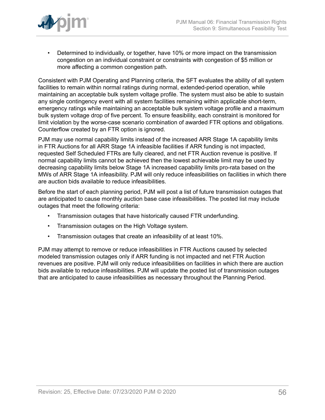

• Determined to individually, or together, have 10% or more impact on the transmission congestion on an individual constraint or constraints with congestion of \$5 million or more affecting a common congestion path.

Consistent with PJM Operating and Planning criteria, the SFT evaluates the ability of all system facilities to remain within normal ratings during normal, extended-period operation, while maintaining an acceptable bulk system voltage profile. The system must also be able to sustain any single contingency event with all system facilities remaining within applicable short-term, emergency ratings while maintaining an acceptable bulk system voltage profile and a maximum bulk system voltage drop of five percent. To ensure feasibility, each constraint is monitored for limit violation by the worse-case scenario combination of awarded FTR options and obligations. Counterflow created by an FTR option is ignored.

PJM may use normal capability limits instead of the increased ARR Stage 1A capability limits in FTR Auctions for all ARR Stage 1A infeasible facilities if ARR funding is not impacted, requested Self Scheduled FTRs are fully cleared, and net FTR Auction revenue is positive. If normal capability limits cannot be achieved then the lowest achievable limit may be used by decreasing capability limits below Stage 1A increased capability limits pro-rata based on the MWs of ARR Stage 1A infeasibility. PJM will only reduce infeasibilities on facilities in which there are auction bids available to reduce infeasibilities.

Before the start of each planning period, PJM will post a list of future transmission outages that are anticipated to cause monthly auction base case infeasibilities. The posted list may include outages that meet the following criteria:

- Transmission outages that have historically caused FTR underfunding.
- Transmission outages on the High Voltage system.
- Transmission outages that create an infeasibility of at least 10%.

PJM may attempt to remove or reduce infeasibilities in FTR Auctions caused by selected modeled transmission outages only if ARR funding is not impacted and net FTR Auction revenues are positive. PJM will only reduce infeasibilities on facilities in which there are auction bids available to reduce infeasibilities. PJM will update the posted list of transmission outages that are anticipated to cause infeasibilities as necessary throughout the Planning Period.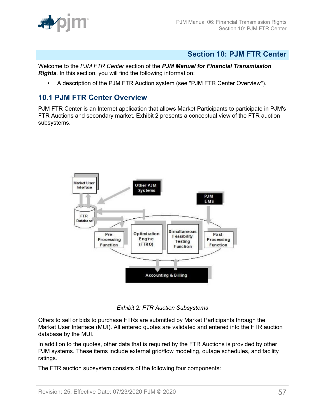

### <span id="page-56-0"></span>**Section 10: PJM FTR Center**

Welcome to the *PJM FTR Center* section of the *PJM Manual for Financial Transmission Rights*. In this section, you will find the following information:

• A description of the PJM FTR Auction system (see "PJM FTR Center Overview").

### <span id="page-56-1"></span>**10.1 PJM FTR Center Overview**

<span id="page-56-2"></span>PJM FTR Center is an Internet application that allows Market Participants to participate in PJM's FTR Auctions and secondary market. Exhibit 2 presents a conceptual view of the FTR auction subsystems.



*Exhibit 2: FTR Auction Subsystems*

Offers to sell or bids to purchase FTRs are submitted by Market Participants through the Market User Interface (MUI). All entered quotes are validated and entered into the FTR auction database by the MUI.

In addition to the quotes, other data that is required by the FTR Auctions is provided by other PJM systems. These items include external grid/flow modeling, outage schedules, and facility ratings.

The FTR auction subsystem consists of the following four components: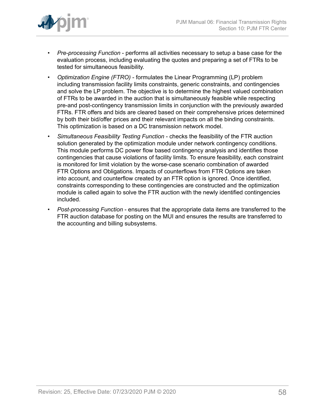

- *Pre-processing Function* performs all activities necessary to setup a base case for the evaluation process, including evaluating the quotes and preparing a set of FTRs to be tested for simultaneous feasibility.
- *Optimization Engine (FTRO)* formulates the Linear Programming (LP) problem including transmission facility limits constraints, generic constraints, and contingencies and solve the LP problem. The objective is to determine the highest valued combination of FTRs to be awarded in the auction that is simultaneously feasible while respecting pre-and post-contingency transmission limits in conjunction with the previously awarded FTRs. FTR offers and bids are cleared based on their comprehensive prices determined by both their bid/offer prices and their relevant impacts on all the binding constraints. This optimization is based on a DC transmission network model.
- *Simultaneous Feasibility Testing Function* checks the feasibility of the FTR auction solution generated by the optimization module under network contingency conditions. This module performs DC power flow based contingency analysis and identifies those contingencies that cause violations of facility limits. To ensure feasibility, each constraint is monitored for limit violation by the worse-case scenario combination of awarded FTR Options and Obligations. Impacts of counterflows from FTR Options are taken into account, and counterflow created by an FTR option is ignored. Once identified, constraints corresponding to these contingencies are constructed and the optimization module is called again to solve the FTR auction with the newly identified contingencies included.
- *Post*-*processing Function* ensures that the appropriate data items are transferred to the FTR auction database for posting on the MUI and ensures the results are transferred to the accounting and billing subsystems.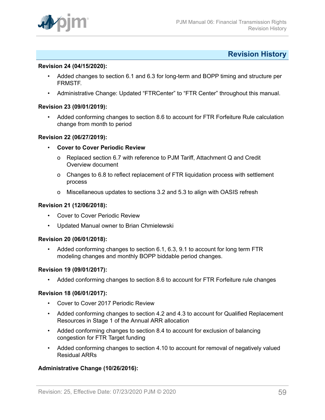

### <span id="page-58-0"></span>**Revision History**

#### **Revision 24 (04/15/2020):**

- Added changes to section 6.1 and 6.3 for long-term and BOPP timing and structure per FRMSTF.
- Administrative Change: Updated "FTRCenter" to "FTR Center" throughout this manual.

#### **Revision 23 (09/01/2019):**

• Added conforming changes to section 8.6 to account for FTR Forfeiture Rule calculation change from month to period

#### **Revision 22 (06/27/2019):**

- **Cover to Cover Periodic Review**
	- o Replaced section 6.7 with reference to PJM Tariff, Attachment Q and Credit Overview document
	- o Changes to 6.8 to reflect replacement of FTR liquidation process with settlement process
	- o Miscellaneous updates to sections 3.2 and 5.3 to align with OASIS refresh

#### **Revision 21 (12/06/2018):**

- Cover to Cover Periodic Review
- Updated Manual owner to Brian Chmielewski

#### **Revision 20 (06/01/2018):**

• Added conforming changes to section 6.1, 6.3, 9.1 to account for long term FTR modeling changes and monthly BOPP biddable period changes.

#### **Revision 19 (09/01/2017):**

• Added conforming changes to section 8.6 to account for FTR Forfeiture rule changes

### **Revision 18 (06/01/2017):**

- Cover to Cover 2017 Periodic Review
- Added conforming changes to section 4.2 and 4.3 to account for Qualified Replacement Resources in Stage 1 of the Annual ARR allocation
- Added conforming changes to section 8.4 to account for exclusion of balancing congestion for FTR Target funding
- Added conforming changes to section 4.10 to account for removal of negatively valued Residual ARRs

#### **Administrative Change (10/26/2016):**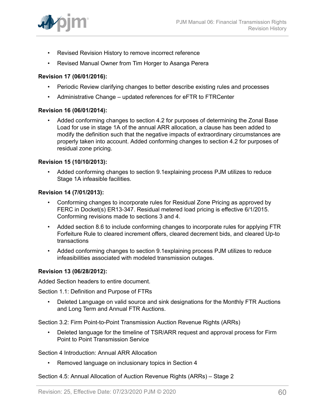- Revised Revision History to remove incorrect reference
- Revised Manual Owner from Tim Horger to Asanga Perera

#### **Revision 17 (06/01/2016):**

- Periodic Review clarifying changes to better describe existing rules and processes
- Administrative Change updated references for eFTR to FTRCenter

#### **Revision 16 (06/01/2014):**

• Added conforming changes to section 4.2 for purposes of determining the Zonal Base Load for use in stage 1A of the annual ARR allocation, a clause has been added to modify the definition such that the negative impacts of extraordinary circumstances are properly taken into account. Added conforming changes to section 4.2 for purposes of residual zone pricing.

#### **Revision 15 (10/10/2013):**

• Added conforming changes to section 9.1explaining process PJM utilizes to reduce Stage 1A infeasible facilities.

#### **Revision 14 (7/01/2013):**

- Conforming changes to incorporate rules for Residual Zone Pricing as approved by FERC in Docket(s) ER13-347. Residual metered load pricing is effective 6/1/2015. Conforming revisions made to sections 3 and 4.
- Added section 8.6 to include conforming changes to incorporate rules for applying FTR Forfeiture Rule to cleared increment offers, cleared decrement bids, and cleared Up-to transactions
- Added conforming changes to section 9.1explaining process PJM utilizes to reduce infeasibilities associated with modeled transmission outages.

### **Revision 13 (06/28/2012):**

Added Section headers to entire document.

Section 1.1: Definition and Purpose of FTRs

• Deleted Language on valid source and sink designations for the Monthly FTR Auctions and Long Term and Annual FTR Auctions.

Section 3.2: Firm Point-to-Point Transmission Auction Revenue Rights (ARRs)

• Deleted language for the timeline of TSR/ARR request and approval process for Firm Point to Point Transmission Service

#### Section 4 Introduction: Annual ARR Allocation

• Removed language on inclusionary topics in Section 4

### Section 4.5: Annual Allocation of Auction Revenue Rights (ARRs) – Stage 2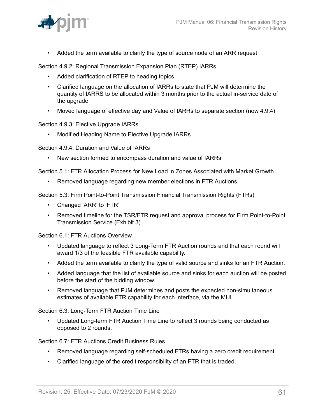

• Added the term available to clarify the type of source node of an ARR request

Section 4.9.2: Regional Transmission Expansion Plan (RTEP) IARRs

- Added clarification of RTEP to heading topics
- Clarified language on the allocation of IARRs to state that PJM will determine the quantity of IARRS to be allocated within 3 months prior to the actual in-service date of the upgrade
- Moved language of effective day and Value of IARRs to separate section (now 4.9.4)

Section 4.9.3: Elective Upgrade IARRs

• Modified Heading Name to Elective Upgrade IARRs

Section 4.9.4: Duration and Value of IARRs

• New section formed to encompass duration and value of IARRs

Section 5.1: FTR Allocation Process for New Load in Zones Associated with Market Growth

• Removed language regarding new member elections in FTR Auctions.

Section 5.3: Firm Point-to-Point Transmission Financial Transmission Rights (FTRs)

- Changed 'ARR' to 'FTR'
- Removed timeline for the TSR/FTR request and approval process for Firm Point-to-Point Transmission Service (Exhibit 3)

Section 6.1: FTR Auctions Overview

- Updated language to reflect 3 Long-Term FTR Auction rounds and that each round will award 1/3 of the feasible FTR available capability.
- Added the term available to clarify the type of valid source and sinks for an FTR Auction.
- Added language that the list of available source and sinks for each auction will be posted before the start of the bidding window.
- Removed language that PJM determines and posts the expected non-simultaneous estimates of available FTR capability for each interface, via the MUI

Section 6.3: Long-Term FTR Auction Time Line

• Updated Long-term FTR Auction Time Line to reflect 3 rounds being conducted as opposed to 2 rounds.

Section 6.7: FTR Auctions Credit Business Rules

- Removed language regarding self-scheduled FTRs having a zero credit requirement
- Clarified language of the credit responsibility of an FTR that is traded.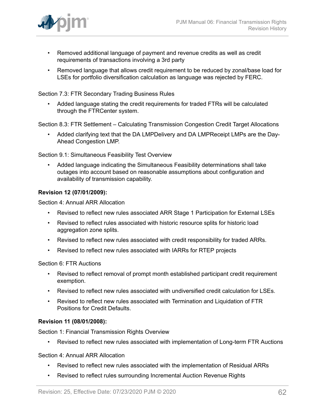

- Removed additional language of payment and revenue credits as well as credit requirements of transactions involving a 3rd party
- Removed language that allows credit requirement to be reduced by zonal/base load for LSEs for portfolio diversification calculation as language was rejected by FERC.

Section 7.3: FTR Secondary Trading Business Rules

• Added language stating the credit requirements for traded FTRs will be calculated through the FTRCenter system.

Section 8.3: FTR Settlement – Calculating Transmission Congestion Credit Target Allocations

• Added clarifying text that the DA LMPDelivery and DA LMPReceipt LMPs are the Day-Ahead Congestion LMP.

Section 9.1: Simultaneous Feasibility Test Overview

• Added language indicating the Simultaneous Feasibility determinations shall take outages into account based on reasonable assumptions about configuration and availability of transmission capability.

### **Revision 12 (07/01/2009):**

Section 4: Annual ARR Allocation

- Revised to reflect new rules associated ARR Stage 1 Participation for External LSEs
- Revised to reflect rules associated with historic resource splits for historic load aggregation zone splits.
- Revised to reflect new rules associated with credit responsibility for traded ARRs.
- Revised to reflect new rules associated with IARRs for RTEP projects

Section 6: FTR Auctions

- Revised to reflect removal of prompt month established participant credit requirement exemption.
- Revised to reflect new rules associated with undiversified credit calculation for LSEs.
- Revised to reflect new rules associated with Termination and Liquidation of FTR Positions for Credit Defaults.

#### **Revision 11 (08/01/2008):**

Section 1: Financial Transmission Rights Overview

• Revised to reflect new rules associated with implementation of Long-term FTR Auctions

Section 4: Annual ARR Allocation

- Revised to reflect new rules associated with the implementation of Residual ARRs
- Revised to reflect rules surrounding Incremental Auction Revenue Rights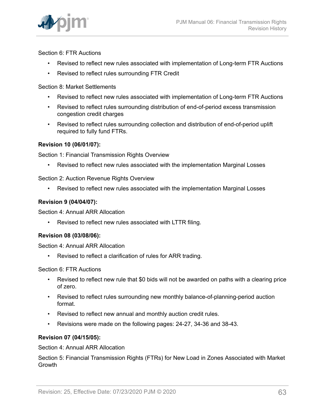

Section 6: FTR Auctions

- Revised to reflect new rules associated with implementation of Long-term FTR Auctions
- Revised to reflect rules surrounding FTR Credit

Section 8: Market Settlements

- Revised to reflect new rules associated with implementation of Long-term FTR Auctions
- Revised to reflect rules surrounding distribution of end-of-period excess transmission congestion credit charges
- Revised to reflect rules surrounding collection and distribution of end-of-period uplift required to fully fund FTRs.

### **Revision 10 (06/01/07):**

Section 1: Financial Transmission Rights Overview

• Revised to reflect new rules associated with the implementation Marginal Losses

Section 2: Auction Revenue Rights Overview

• Revised to reflect new rules associated with the implementation Marginal Losses

### **Revision 9 (04/04/07):**

Section 4: Annual ARR Allocation

• Revised to reflect new rules associated with LTTR filing.

### **Revision 08 (03/08/06):**

Section 4: Annual ARR Allocation

Revised to reflect a clarification of rules for ARR trading.

### Section 6: FTR Auctions

- Revised to reflect new rule that \$0 bids will not be awarded on paths with a clearing price of zero.
- Revised to reflect rules surrounding new monthly balance-of-planning-period auction format.
- Revised to reflect new annual and monthly auction credit rules.
- Revisions were made on the following pages: 24-27, 34-36 and 38-43.

### **Revision 07 (04/15/05):**

Section 4: Annual ARR Allocation

Section 5: Financial Transmission Rights (FTRs) for New Load in Zones Associated with Market **Growth**